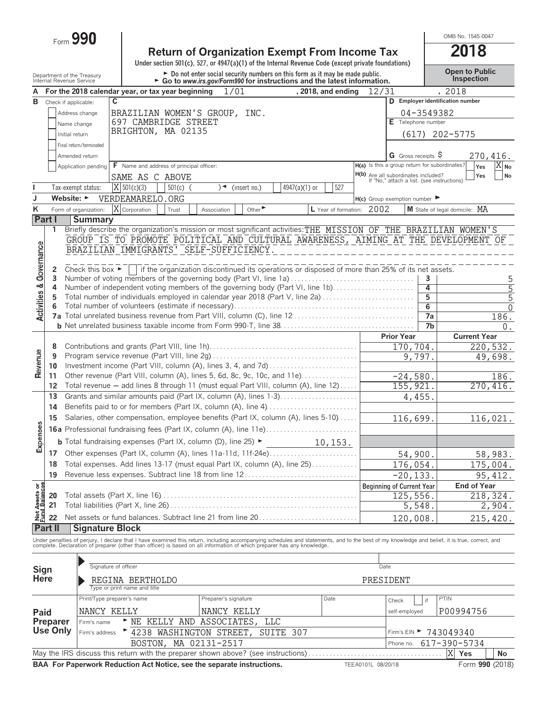|                                    |                                      | Form 990                                                                                                                                                                                                    |                                                       |            |             |      |                             |               |                                                                                                                                                           |                                     |                   |                                               | OMB No. 1545-0047                                                                                                                                                                                                                 |
|------------------------------------|--------------------------------------|-------------------------------------------------------------------------------------------------------------------------------------------------------------------------------------------------------------|-------------------------------------------------------|------------|-------------|------|-----------------------------|---------------|-----------------------------------------------------------------------------------------------------------------------------------------------------------|-------------------------------------|-------------------|-----------------------------------------------|-----------------------------------------------------------------------------------------------------------------------------------------------------------------------------------------------------------------------------------|
|                                    |                                      |                                                                                                                                                                                                             |                                                       |            |             |      |                             |               | <b>Return of Organization Exempt From Income Tax</b>                                                                                                      |                                     |                   |                                               | 2018                                                                                                                                                                                                                              |
|                                    |                                      |                                                                                                                                                                                                             |                                                       |            |             |      |                             |               | Under section $501(c)$ , $527$ , or $4947(a)(1)$ of the Internal Revenue Code (except private foundations)                                                |                                     |                   |                                               |                                                                                                                                                                                                                                   |
|                                    |                                      | Department of the Treasury<br>Internal Revenue Service                                                                                                                                                      |                                                       |            |             |      |                             |               | ► Do not enter social security numbers on this form as it may be made public.<br>► Go to www.irs.gov/Form990 for instructions and the latest information. |                                     |                   |                                               | <b>Open to Public</b><br>Inspection                                                                                                                                                                                               |
|                                    |                                      |                                                                                                                                                                                                             |                                                       |            |             |      |                             |               |                                                                                                                                                           |                                     |                   |                                               |                                                                                                                                                                                                                                   |
| A<br>в                             |                                      | For the 2018 calendar year, or tax year beginning                                                                                                                                                           | C                                                     |            |             | 1/01 |                             |               | , 2018, and ending                                                                                                                                        | 12/31                               |                   |                                               | , 2018<br>D Employer identification number                                                                                                                                                                                        |
|                                    |                                      | Check if applicable:<br>Address change                                                                                                                                                                      |                                                       |            |             |      |                             |               |                                                                                                                                                           |                                     |                   | 04-3549382                                    |                                                                                                                                                                                                                                   |
|                                    |                                      | Name change                                                                                                                                                                                                 | BRAZILIAN WOMEN'S GROUP, INC.<br>697 CAMBRIDGE STREET |            |             |      |                             |               |                                                                                                                                                           |                                     |                   | E Telephone number                            |                                                                                                                                                                                                                                   |
|                                    | BRIGHTON, MA 02135<br>Initial return |                                                                                                                                                                                                             |                                                       |            |             |      |                             |               |                                                                                                                                                           |                                     | $(617)$ 202-5775  |                                               |                                                                                                                                                                                                                                   |
|                                    |                                      | Final return/terminated                                                                                                                                                                                     |                                                       |            |             |      |                             |               |                                                                                                                                                           |                                     |                   |                                               |                                                                                                                                                                                                                                   |
|                                    |                                      | Amended return                                                                                                                                                                                              |                                                       |            |             |      |                             |               |                                                                                                                                                           |                                     |                   | <b>G</b> Gross receipts $\varsigma$           | 270,416.                                                                                                                                                                                                                          |
|                                    |                                      | Application pending                                                                                                                                                                                         | F Name and address of principal officer:              |            |             |      |                             |               |                                                                                                                                                           |                                     |                   | H(a) Is this a group return for subordinates? | $X_{No}$<br>Yes                                                                                                                                                                                                                   |
|                                    |                                      |                                                                                                                                                                                                             | SAME AS C ABOVE                                       |            |             |      |                             |               |                                                                                                                                                           | H(b) Are all subordinates included? |                   |                                               | No<br>Yes                                                                                                                                                                                                                         |
|                                    |                                      | Tax-exempt status:                                                                                                                                                                                          | $X$ 501(c)(3)                                         | $501(c)$ ( |             |      | (insert no.)                | 4947(a)(1) or | 527                                                                                                                                                       |                                     |                   | If "No," attach a list. (see instructions)    |                                                                                                                                                                                                                                   |
| J                                  |                                      | Website: $\blacktriangleright$                                                                                                                                                                              | VERDEAMARELO.ORG                                      |            |             |      |                             |               |                                                                                                                                                           | $H(c)$ Group exemption number       |                   |                                               |                                                                                                                                                                                                                                   |
| Κ                                  |                                      | Form of organization:                                                                                                                                                                                       | X Corporation                                         | Trust      | Association |      | Other $\blacktriangleright$ |               | L Year of formation: 2002                                                                                                                                 |                                     |                   |                                               | M State of legal domicile: MA                                                                                                                                                                                                     |
|                                    | Part I                               | <b>Summary</b>                                                                                                                                                                                              |                                                       |            |             |      |                             |               |                                                                                                                                                           |                                     |                   |                                               |                                                                                                                                                                                                                                   |
|                                    | 1                                    |                                                                                                                                                                                                             |                                                       |            |             |      |                             |               |                                                                                                                                                           |                                     |                   |                                               | Briefly describe the organization's mission or most significant activities: THE MISSION OF THE BRAZILIAN WOMEN'S                                                                                                                  |
|                                    |                                      |                                                                                                                                                                                                             |                                                       |            |             |      |                             |               |                                                                                                                                                           |                                     |                   |                                               | GROUP IS TO PROMOTE POLITICAL AND CULTURAL AWARENESS, AIMING AT THE DEVELOPMENT OF                                                                                                                                                |
|                                    |                                      | BRAZILIAN IMMIGRANTS' SELF-SUFFICIENCY.                                                                                                                                                                     |                                                       |            |             |      |                             |               |                                                                                                                                                           |                                     |                   |                                               |                                                                                                                                                                                                                                   |
| <b>Activities &amp; Governance</b> |                                      |                                                                                                                                                                                                             |                                                       |            |             |      |                             |               |                                                                                                                                                           |                                     |                   |                                               |                                                                                                                                                                                                                                   |
|                                    | 2<br>3                               | Check this box $\blacktriangleright$   if the organization discontinued its operations or disposed of more than 25% of its net assets.<br>Number of voting members of the governing body (Part VI, line 1a) |                                                       |            |             |      |                             |               |                                                                                                                                                           |                                     |                   | 3                                             |                                                                                                                                                                                                                                   |
|                                    | 4                                    | Number of independent voting members of the governing body (Part VI, line 1b)                                                                                                                               |                                                       |            |             |      |                             |               |                                                                                                                                                           |                                     |                   | $\overline{4}$                                | 5<br>5                                                                                                                                                                                                                            |
|                                    | 5                                    | Total number of individuals employed in calendar year 2018 (Part V, line 2a)                                                                                                                                |                                                       |            |             |      |                             |               |                                                                                                                                                           |                                     |                   | $\overline{5}$                                | $\overline{5}$                                                                                                                                                                                                                    |
|                                    | 6                                    |                                                                                                                                                                                                             |                                                       |            |             |      |                             |               |                                                                                                                                                           |                                     |                   | 6                                             | $\overline{0}$                                                                                                                                                                                                                    |
|                                    |                                      |                                                                                                                                                                                                             |                                                       |            |             |      |                             |               |                                                                                                                                                           |                                     |                   | $\overline{7a}$                               | 186.                                                                                                                                                                                                                              |
|                                    |                                      |                                                                                                                                                                                                             |                                                       |            |             |      |                             |               |                                                                                                                                                           |                                     |                   | 7 <sub>b</sub>                                | 0.                                                                                                                                                                                                                                |
|                                    |                                      |                                                                                                                                                                                                             |                                                       |            |             |      |                             |               |                                                                                                                                                           |                                     | <b>Prior Year</b> |                                               | <b>Current Year</b>                                                                                                                                                                                                               |
|                                    | 8                                    |                                                                                                                                                                                                             |                                                       |            |             |      |                             |               |                                                                                                                                                           |                                     |                   | 170,704.                                      | 220,532.                                                                                                                                                                                                                          |
|                                    | 9<br>10                              | Investment income (Part VIII, column (A), lines 3, 4, and 7d)                                                                                                                                               |                                                       |            |             |      |                             |               |                                                                                                                                                           |                                     |                   | 9,797.                                        | 49,698.                                                                                                                                                                                                                           |
| Revenue                            | 11                                   | Other revenue (Part VIII, column (A), lines 5, 6d, 8c, 9c, 10c, and 11e)                                                                                                                                    |                                                       |            |             |      |                             |               |                                                                                                                                                           |                                     |                   | $-24,580.$                                    | 186.                                                                                                                                                                                                                              |
|                                    | 12                                   | Total revenue - add lines 8 through 11 (must equal Part VIII, column (A), line 12)                                                                                                                          |                                                       |            |             |      |                             |               |                                                                                                                                                           |                                     |                   | 155, 921.                                     | 270,416.                                                                                                                                                                                                                          |
|                                    | 13                                   |                                                                                                                                                                                                             |                                                       |            |             |      |                             |               |                                                                                                                                                           |                                     |                   | 4,455.                                        |                                                                                                                                                                                                                                   |
|                                    | 14                                   |                                                                                                                                                                                                             |                                                       |            |             |      |                             |               |                                                                                                                                                           |                                     |                   |                                               |                                                                                                                                                                                                                                   |
|                                    | 15                                   | Salaries, other compensation, employee benefits (Part IX, column (A), lines 5-10)                                                                                                                           |                                                       |            |             |      |                             |               |                                                                                                                                                           |                                     |                   | 116,699.                                      | 116,021.                                                                                                                                                                                                                          |
| es                                 |                                      |                                                                                                                                                                                                             |                                                       |            |             |      |                             |               |                                                                                                                                                           |                                     |                   |                                               |                                                                                                                                                                                                                                   |
| Expense                            |                                      | <b>b</b> Total fundraising expenses (Part IX, column (D), line 25) $\blacktriangleright$                                                                                                                    |                                                       |            |             |      |                             |               | 10, 153.                                                                                                                                                  |                                     |                   |                                               |                                                                                                                                                                                                                                   |
|                                    | 17                                   | Other expenses (Part IX, column (A), lines 11a-11d, 11f-24e)                                                                                                                                                |                                                       |            |             |      |                             |               |                                                                                                                                                           |                                     |                   |                                               |                                                                                                                                                                                                                                   |
|                                    | 18                                   | Total expenses. Add lines 13-17 (must equal Part IX, column (A), line 25)                                                                                                                                   |                                                       |            |             |      |                             |               |                                                                                                                                                           |                                     |                   | 54,900.<br>176,054.                           | 58,983.<br>175,004.                                                                                                                                                                                                               |
|                                    | 19                                   | Revenue less expenses. Subtract line 18 from line 12                                                                                                                                                        |                                                       |            |             |      |                             |               |                                                                                                                                                           |                                     |                   | $-20, 133.$                                   | 95, 412.                                                                                                                                                                                                                          |
|                                    |                                      |                                                                                                                                                                                                             |                                                       |            |             |      |                             |               |                                                                                                                                                           |                                     |                   | <b>Beginning of Current Year</b>              | <b>End of Year</b>                                                                                                                                                                                                                |
| Net Assets or<br>Fund Balances     | 20                                   |                                                                                                                                                                                                             |                                                       |            |             |      |                             |               |                                                                                                                                                           |                                     |                   | 125,556.                                      | 218,324.                                                                                                                                                                                                                          |
|                                    | 21                                   |                                                                                                                                                                                                             |                                                       |            |             |      |                             |               |                                                                                                                                                           |                                     |                   | 5,548.                                        | 2,904.                                                                                                                                                                                                                            |
|                                    | 22                                   | Net assets or fund balances. Subtract line 21 from line 20                                                                                                                                                  |                                                       |            |             |      |                             |               |                                                                                                                                                           |                                     |                   | 120,008.                                      | 215,420.                                                                                                                                                                                                                          |
|                                    | Part II                              | <b>Signature Block</b>                                                                                                                                                                                      |                                                       |            |             |      |                             |               |                                                                                                                                                           |                                     |                   |                                               |                                                                                                                                                                                                                                   |
|                                    |                                      |                                                                                                                                                                                                             |                                                       |            |             |      |                             |               |                                                                                                                                                           |                                     |                   |                                               |                                                                                                                                                                                                                                   |
|                                    |                                      |                                                                                                                                                                                                             |                                                       |            |             |      |                             |               |                                                                                                                                                           |                                     |                   |                                               | Under penalties of perjury, I declare that I have examined this return, including accompanying schedules and statements, and to the best of my knowledge and belief, it is true, correct, and<br>complete. Declaration of prepare |
|                                    |                                      |                                                                                                                                                                                                             |                                                       |            |             |      |                             |               |                                                                                                                                                           |                                     |                   |                                               |                                                                                                                                                                                                                                   |
| Sign                               |                                      |                                                                                                                                                                                                             | Signature of officer                                  |            |             |      |                             |               |                                                                                                                                                           |                                     | Date              |                                               |                                                                                                                                                                                                                                   |
| Here                               |                                      |                                                                                                                                                                                                             | REGINA BERTHOLDO                                      |            |             |      |                             |               |                                                                                                                                                           |                                     | PRESIDENT         |                                               |                                                                                                                                                                                                                                   |
|                                    |                                      |                                                                                                                                                                                                             | Type or print name and title                          |            |             |      |                             |               |                                                                                                                                                           |                                     |                   |                                               |                                                                                                                                                                                                                                   |

|                         | Print/Type preparer's name                                             | , if<br>Check          | PTIN               |                        |                 |  |  |  |
|-------------------------|------------------------------------------------------------------------|------------------------|--------------------|------------------------|-----------------|--|--|--|
| Paid                    | NANCY KELLY                                                            | NANCY KELLY            | self-employed      | P00994756              |                 |  |  |  |
| Preparer                | NE KELLY AND ASSOCIATES, LLC<br>Firm's name                            |                        |                    |                        |                 |  |  |  |
| Use Only                | Firm's address<br>* 4238 WASHINGTON STREET, SUITE 307                  | Firm's EIN   743049340 |                    |                        |                 |  |  |  |
|                         | BOSTON, MA 02131-2517                                                  |                        |                    | Phone no. 617-390-5734 |                 |  |  |  |
| ΙXΙ<br>Yes<br><b>No</b> |                                                                        |                        |                    |                        |                 |  |  |  |
|                         | BAA For Paperwork Reduction Act Notice, see the separate instructions. |                        | TEEA0101L 08/20/18 |                        | Form 990 (2018) |  |  |  |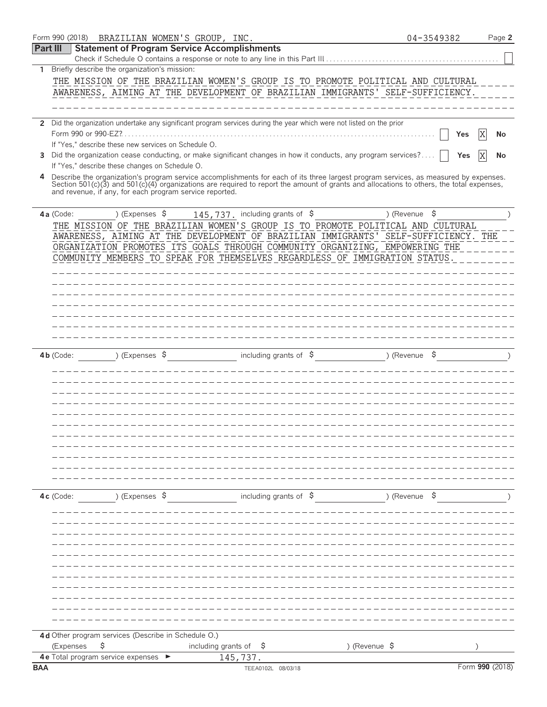|            |           | Form 990 (2018) BRAZILIAN WOMEN'S GROUP, INC.            |                          |                                  |                                                                                                                                                                                                                                                                                  |                          | 04-3549382 |                 |    | Page 2 |
|------------|-----------|----------------------------------------------------------|--------------------------|----------------------------------|----------------------------------------------------------------------------------------------------------------------------------------------------------------------------------------------------------------------------------------------------------------------------------|--------------------------|------------|-----------------|----|--------|
| Part III   |           | <b>Statement of Program Service Accomplishments</b>      |                          |                                  |                                                                                                                                                                                                                                                                                  |                          |            |                 |    |        |
|            |           |                                                          |                          |                                  | Check if Schedule O contains a response or note to any line in this Part III                                                                                                                                                                                                     |                          |            |                 |    |        |
| 1          |           | Briefly describe the organization's mission:             |                          |                                  |                                                                                                                                                                                                                                                                                  |                          |            |                 |    |        |
|            |           |                                                          |                          |                                  | THE MISSION OF THE BRAZILIAN WOMEN'S GROUP IS TO PROMOTE POLITICAL AND CULTURAL                                                                                                                                                                                                  |                          |            |                 |    |        |
|            |           |                                                          |                          |                                  | AWARENESS, AIMING AT THE DEVELOPMENT OF BRAZILIAN IMMIGRANTS' SELF-SUFFICIENCY.                                                                                                                                                                                                  |                          |            |                 |    |        |
|            |           |                                                          |                          |                                  |                                                                                                                                                                                                                                                                                  |                          |            |                 |    |        |
|            |           |                                                          |                          |                                  | 2 Did the organization undertake any significant program services during the year which were not listed on the prior                                                                                                                                                             |                          |            |                 |    |        |
|            |           |                                                          |                          |                                  |                                                                                                                                                                                                                                                                                  |                          |            | Yes             |    | No     |
|            |           | If "Yes," describe these new services on Schedule O.     |                          |                                  |                                                                                                                                                                                                                                                                                  |                          |            |                 |    |        |
|            |           |                                                          |                          |                                  | 3 Did the organization cease conducting, or make significant changes in how it conducts, any program services?                                                                                                                                                                   |                          |            | Yes             | ΙX | No     |
|            |           | If "Yes," describe these changes on Schedule O.          |                          |                                  |                                                                                                                                                                                                                                                                                  |                          |            |                 |    |        |
| 4          |           | and revenue, if any, for each program service reported.  |                          |                                  | Describe the organization's program service accomplishments for each of its three largest program services, as measured by expenses.<br>Section 501(c)(3) and 501(c)(4) organizations are required to report the amount of grants and allocations to others, the total expenses, |                          |            |                 |    |        |
|            | 4a (Code: | ) (Expenses \$                                           |                          | 145, 737. including grants of \$ |                                                                                                                                                                                                                                                                                  | ) (Revenue $\frac{1}{2}$ |            |                 |    |        |
|            |           |                                                          |                          |                                  | THE MISSION OF THE BRAZILIAN WOMEN'S GROUP IS TO PROMOTE POLITICAL AND CULTURAL                                                                                                                                                                                                  |                          |            |                 |    |        |
|            |           |                                                          |                          |                                  | AWARENESS, AIMING AT THE DEVELOPMENT OF BRAZILIAN IMMIGRANTS' SELF-SUFFICIENCY. THE                                                                                                                                                                                              |                          |            |                 |    |        |
|            |           |                                                          |                          |                                  | ORGANIZATION PROMOTES ITS GOALS THROUGH COMMUNITY ORGANIZING, EMPOWERING THE                                                                                                                                                                                                     |                          |            |                 |    |        |
|            |           |                                                          |                          |                                  | COMMUNITY MEMBERS TO SPEAK FOR THEMSELVES REGARDLESS OF IMMIGRATION STATUS.                                                                                                                                                                                                      |                          |            |                 |    |        |
|            |           |                                                          |                          |                                  |                                                                                                                                                                                                                                                                                  |                          |            |                 |    |        |
|            |           |                                                          |                          |                                  |                                                                                                                                                                                                                                                                                  |                          |            |                 |    |        |
|            |           |                                                          |                          |                                  |                                                                                                                                                                                                                                                                                  |                          |            |                 |    |        |
|            |           |                                                          |                          |                                  |                                                                                                                                                                                                                                                                                  |                          |            |                 |    |        |
|            |           |                                                          |                          |                                  |                                                                                                                                                                                                                                                                                  |                          |            |                 |    |        |
|            |           |                                                          |                          |                                  |                                                                                                                                                                                                                                                                                  |                          |            |                 |    |        |
|            |           |                                                          |                          |                                  |                                                                                                                                                                                                                                                                                  |                          |            |                 |    |        |
|            | 4b (Code: | ) (Expenses $\sqrt{5}$                                   |                          | including grants of $$$          |                                                                                                                                                                                                                                                                                  | ) (Revenue               |            |                 |    |        |
|            |           |                                                          |                          |                                  |                                                                                                                                                                                                                                                                                  |                          |            |                 |    |        |
|            |           |                                                          |                          |                                  |                                                                                                                                                                                                                                                                                  |                          |            |                 |    |        |
|            |           |                                                          |                          |                                  |                                                                                                                                                                                                                                                                                  |                          |            |                 |    |        |
|            |           |                                                          |                          |                                  |                                                                                                                                                                                                                                                                                  |                          |            |                 |    |        |
|            |           |                                                          |                          |                                  |                                                                                                                                                                                                                                                                                  |                          |            |                 |    |        |
|            |           |                                                          |                          |                                  |                                                                                                                                                                                                                                                                                  |                          |            |                 |    |        |
|            |           |                                                          |                          |                                  |                                                                                                                                                                                                                                                                                  |                          |            |                 |    |        |
|            |           |                                                          |                          |                                  |                                                                                                                                                                                                                                                                                  |                          |            |                 |    |        |
|            |           |                                                          |                          |                                  |                                                                                                                                                                                                                                                                                  |                          |            |                 |    |        |
|            |           |                                                          |                          |                                  |                                                                                                                                                                                                                                                                                  |                          |            |                 |    |        |
|            |           |                                                          |                          |                                  |                                                                                                                                                                                                                                                                                  |                          |            |                 |    |        |
|            |           |                                                          |                          |                                  |                                                                                                                                                                                                                                                                                  |                          |            |                 |    |        |
|            | 4c (Code: | ) (Expenses \$                                           |                          |                                  | including grants of $\sinh 2\theta$ (Revenue $\sinh 2\theta$ )                                                                                                                                                                                                                   |                          |            |                 |    |        |
|            |           |                                                          |                          |                                  |                                                                                                                                                                                                                                                                                  |                          |            |                 |    |        |
|            |           |                                                          |                          |                                  |                                                                                                                                                                                                                                                                                  |                          |            |                 |    |        |
|            |           |                                                          |                          |                                  |                                                                                                                                                                                                                                                                                  |                          |            |                 |    |        |
|            |           |                                                          |                          |                                  |                                                                                                                                                                                                                                                                                  |                          |            |                 |    |        |
|            |           |                                                          |                          |                                  |                                                                                                                                                                                                                                                                                  |                          |            |                 |    |        |
|            |           |                                                          |                          |                                  |                                                                                                                                                                                                                                                                                  |                          |            |                 |    |        |
|            |           |                                                          |                          |                                  |                                                                                                                                                                                                                                                                                  |                          |            |                 |    |        |
|            |           |                                                          |                          |                                  |                                                                                                                                                                                                                                                                                  |                          |            |                 |    |        |
|            |           |                                                          |                          |                                  |                                                                                                                                                                                                                                                                                  |                          |            |                 |    |        |
|            |           |                                                          |                          |                                  |                                                                                                                                                                                                                                                                                  |                          |            |                 |    |        |
|            |           |                                                          |                          |                                  |                                                                                                                                                                                                                                                                                  |                          |            |                 |    |        |
|            |           | 4d Other program services (Describe in Schedule O.)      |                          |                                  |                                                                                                                                                                                                                                                                                  |                          |            |                 |    |        |
|            | (Expenses | \$                                                       | including grants of $\$$ |                                  | ) (Revenue \$                                                                                                                                                                                                                                                                    |                          |            |                 |    |        |
| <b>BAA</b> |           | 4 e Total program service expenses $\blacktriangleright$ |                          | 145,737.                         |                                                                                                                                                                                                                                                                                  |                          |            | Form 990 (2018) |    |        |
|            |           |                                                          |                          | TEEA0102L 08/03/18               |                                                                                                                                                                                                                                                                                  |                          |            |                 |    |        |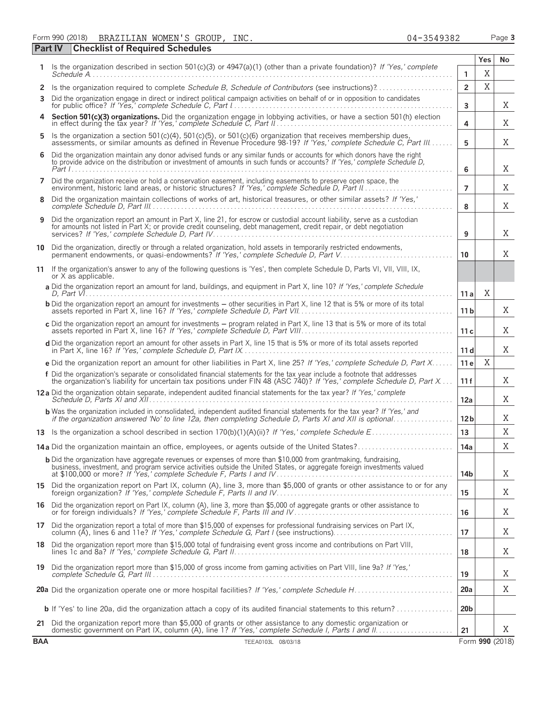Form 990 (2018) BRAZILIAN WOMEN'S GROUP, INC. 04-3549382 Page **3** BRAZILIAN WOMEN'S GROUP, INC. 04-3549382

|            | <b>Checklist of Required Schedules</b><br>Part IV                                                                                                                                                                                                   |                 |             |                 |
|------------|-----------------------------------------------------------------------------------------------------------------------------------------------------------------------------------------------------------------------------------------------------|-----------------|-------------|-----------------|
|            | Is the organization described in section 501(c)(3) or 4947(a)(1) (other than a private foundation)? If 'Yes,' complete                                                                                                                              |                 | Yes         | No              |
|            |                                                                                                                                                                                                                                                     | 1               | X           |                 |
| 2          |                                                                                                                                                                                                                                                     | $\overline{2}$  | $\mathbf X$ |                 |
| 3          | Did the organization engage in direct or indirect political campaign activities on behalf of or in opposition to candidates                                                                                                                         | 3               |             | Χ               |
|            | Section 501(c)(3) organizations. Did the organization engage in lobbying activities, or have a section 501(h) election in effect during the tax year? If 'Yes,' complete Schedule C, Part II                                                        | 4               |             | Χ               |
| 5          | Is the organization a section 501(c)(4), 501(c)(5), or 501(c)(6) organization that receives membership dues, assessments, or similar amounts as defined in Revenue Procedure 98-19? If 'Yes,' complete Schedule C, Part III                         | 5               |             | Χ               |
| 6          | Did the organization maintain any donor advised funds or any similar funds or accounts for which donors have the right<br>to provide advice on the distribution or investment of amounts in such funds or accounts? If 'Yes,' complete Schedule D,  | 6               |             | Χ               |
| 7          | Did the organization receive or hold a conservation easement, including easements to preserve open space, the                                                                                                                                       | $\overline{7}$  |             | Χ               |
| 8          | Did the organization maintain collections of works of art, historical treasures, or other similar assets? If 'Yes,'                                                                                                                                 | 8               |             | X               |
| 9          | Did the organization report an amount in Part X, line 21, for escrow or custodial account liability, serve as a custodian<br>for amounts not listed in Part X; or provide credit counseling, debt management, credit repair, or debt negotiation    | 9               |             | X               |
| 10         | Did the organization, directly or through a related organization, hold assets in temporarily restricted endowments,<br>permanent endowments, or quasi-endowments? If 'Yes,' complete Schedule D, Part V                                             | 10              |             | Χ               |
| 11         | If the organization's answer to any of the following questions is 'Yes', then complete Schedule D, Parts VI, VII, VIII, IX,<br>or X as applicable.                                                                                                  |                 |             |                 |
|            | a Did the organization report an amount for land, buildings, and equipment in Part X, line 10? If 'Yes,' complete Schedule                                                                                                                          | 11 a            | Χ           |                 |
|            | <b>b</b> Did the organization report an amount for investments – other securities in Part X, line 12 that is 5% or more of its total                                                                                                                | 11 <sub>b</sub> |             | X               |
|            | c Did the organization report an amount for investments - program related in Part X, line 13 that is 5% or more of its total                                                                                                                        | 11c             |             | Χ               |
|            | d Did the organization report an amount for other assets in Part X, line 15 that is 5% or more of its total assets reported                                                                                                                         | 11d             |             | Χ               |
|            | e Did the organization report an amount for other liabilities in Part X, line 25? If 'Yes,' complete Schedule D, Part X                                                                                                                             | 11 e            | X           |                 |
|            | f Did the organization's separate or consolidated financial statements for the tax year include a footnote that addresses<br>the organization's liability for uncertain tax positions under FIN 48 (ASC 740)? If 'Yes,' complete Schedule D, Part X | 11 f            |             | Χ               |
|            | 12a Did the organization obtain separate, independent audited financial statements for the tax year? If 'Yes,' complete                                                                                                                             | 12a             |             | Χ               |
|            | <b>b</b> Was the organization included in consolidated, independent audited financial statements for the tax year? If 'Yes,' and<br>if the organization answered 'No' to line 12a, then completing Schedule D, Parts XI and XII is optional         | 12 <sub>b</sub> |             | Χ               |
|            |                                                                                                                                                                                                                                                     | 13              |             | X               |
|            | 14a Did the organization maintain an office, employees, or agents outside of the United States?                                                                                                                                                     | 14a             |             | X               |
|            | <b>b</b> Did the organization have aggregate revenues or expenses of more than \$10,000 from grantmaking, fundraising,<br>business, investment, and program service activities outside the United States, or aggregate foreign investments valued   | 14b             |             | X               |
|            | 15 Did the organization report on Part IX, column (A), line 3, more than \$5,000 of grants or other assistance to or for any foreign organization? If 'Yes,' complete Schedule F, Parts II and IV                                                   | 15              |             | Χ               |
|            | 16 Did the organization report on Part IX, column (A), line 3, more than \$5,000 of aggregate grants or other assistance to<br>or for foreign individuals? If 'Yes,' complete Schedule F, Parts III and IV                                          | 16              |             | Χ               |
|            | 17 Did the organization report a total of more than \$15,000 of expenses for professional fundraising services on Part IX,<br>column (A), lines 6 and 11e? If 'Yes,' complete Schedule G, Part I (see instructions)                                 | 17              |             | Χ               |
|            | 18 Did the organization report more than \$15,000 total of fundraising event gross income and contributions on Part VIII,                                                                                                                           | 18              |             | X               |
|            | 19 Did the organization report more than \$15,000 of gross income from gaming activities on Part VIII, line 9a? If 'Yes,'                                                                                                                           | 19              |             | Χ               |
|            |                                                                                                                                                                                                                                                     | 20a             |             | Χ               |
|            | <b>b</b> If 'Yes' to line 20a, did the organization attach a copy of its audited financial statements to this return?                                                                                                                               | 20 <sub>b</sub> |             |                 |
|            | 21 Did the organization report more than \$5,000 of grants or other assistance to any domestic organization or                                                                                                                                      | 21              |             | X               |
| <b>BAA</b> | TEEA0103L 08/03/18                                                                                                                                                                                                                                  |                 |             | Form 990 (2018) |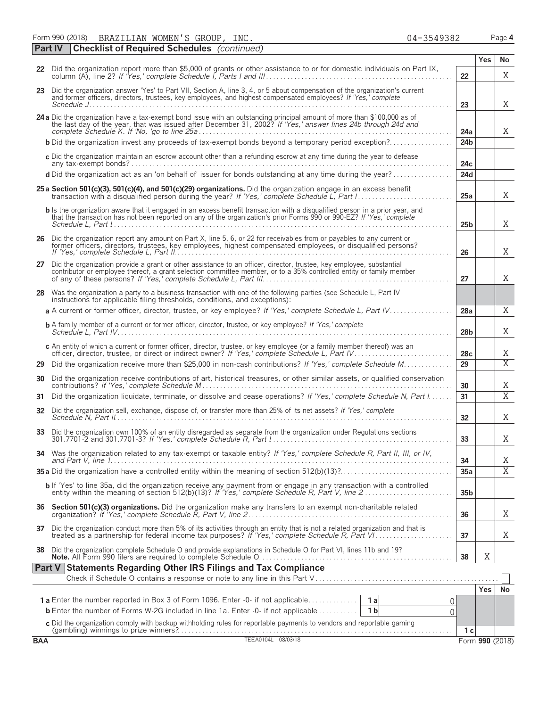Form 990 (2018) BRAZILIAN WOMEN'S GROUP, INC. 04-3549382 Page **4** 

|            | <b>Checklist of Required Schedules</b> (continued)<br><b>Part IV</b>                                                                                                                                                                                          |                 |            |                 |
|------------|---------------------------------------------------------------------------------------------------------------------------------------------------------------------------------------------------------------------------------------------------------------|-----------------|------------|-----------------|
|            |                                                                                                                                                                                                                                                               |                 | <b>Yes</b> | No              |
|            | 22 Did the organization report more than \$5,000 of grants or other assistance to or for domestic individuals on Part IX,                                                                                                                                     | 22              |            | X               |
|            | 23 Did the organization answer 'Yes' to Part VII, Section A, line 3, 4, or 5 about compensation of the organization's current<br>and former officers, directors, trustees, key employees, and highest compensated employees? If 'Yes,' complete<br>Schedule J | 23              |            | X               |
|            | 24 a Did the organization have a tax-exempt bond issue with an outstanding principal amount of more than \$100,000 as of the last day of the year, that was issued after December 31, 2002? If 'Yes,' answer lines 24b through                                | 24a             |            | X               |
|            | <b>b</b> Did the organization invest any proceeds of tax-exempt bonds beyond a temporary period exception?                                                                                                                                                    | 24 <sub>b</sub> |            |                 |
|            | c Did the organization maintain an escrow account other than a refunding escrow at any time during the year to defease                                                                                                                                        | 24c             |            |                 |
|            | d Did the organization act as an 'on behalf of' issuer for bonds outstanding at any time during the year?                                                                                                                                                     | 24d             |            |                 |
|            | 25 a Section 501(c)(3), 501(c)(4), and 501(c)(29) organizations. Did the organization engage in an excess benefit                                                                                                                                             | 25a             |            | X               |
|            | <b>b</b> Is the organization aware that it engaged in an excess benefit transaction with a disqualified person in a prior year, and<br>that the transaction has not been reported on any of the organization's prior Forms 990 or 990-EZ? If 'Yes,' complete  | 25 <sub>b</sub> |            | X               |
|            | 26 Did the organization report any amount on Part X, line 5, 6, or 22 for receivables from or payables to any current or former officers, directors, trustees, key employees, highest compensated employees, or disqualified p                                | 26              |            | X               |
|            | 27 Did the organization provide a grant or other assistance to an officer, director, trustee, key employee, substantial contributor or employee thereof, a grant selection committee member, or to a 35% controlled entity or                                 | 27              |            | X               |
|            | 28 Was the organization a party to a business transaction with one of the following parties (see Schedule L, Part IV<br>instructions for applicable filing thresholds, conditions, and exceptions):                                                           |                 |            |                 |
|            | a A current or former officer, director, trustee, or key employee? If 'Yes,' complete Schedule L, Part IV                                                                                                                                                     | 28a             |            | X               |
|            | <b>b</b> A family member of a current or former officer, director, trustee, or key employee? If 'Yes,' complete                                                                                                                                               | 28 <sub>b</sub> |            | X               |
|            | c An entity of which a current or former officer, director, trustee, or key employee (or a family member thereof) was an                                                                                                                                      | 28c             |            | X               |
| 29         | Did the organization receive more than \$25,000 in non-cash contributions? If 'Yes,' complete Schedule M                                                                                                                                                      | 29              |            | $\overline{X}$  |
|            | 30 Did the organization receive contributions of art, historical treasures, or other similar assets, or qualified conservation                                                                                                                                | 30              |            | Χ               |
| 31         | Did the organization liquidate, terminate, or dissolve and cease operations? If 'Yes,' complete Schedule N, Part I                                                                                                                                            | 31              |            | $\overline{X}$  |
|            | 32 Did the organization sell, exchange, dispose of, or transfer more than 25% of its net assets? If 'Yes,' complete                                                                                                                                           | 32              |            | X               |
|            | 33 Did the organization own 100% of an entity disregarded as separate from the organization under Regulations sections                                                                                                                                        | 33              |            | X               |
|            | 34 Was the organization related to any tax-exempt or taxable entity? If 'Yes,' complete Schedule R, Part II, III, or IV,                                                                                                                                      | 34              |            | X               |
|            |                                                                                                                                                                                                                                                               | 35a             |            | $\overline{X}$  |
|            | <b>b</b> If 'Yes' to line 35a, did the organization receive any payment from or engage in any transaction with a controlled entity within the meaning of section 512(b)(13)? If 'Yes,' complete Schedule R, Part V, line 2                                    | 35 <sub>b</sub> |            |                 |
| 36         | Section 501(c)(3) organizations. Did the organization make any transfers to an exempt non-charitable related                                                                                                                                                  | 36              |            | X               |
| 37         | Did the organization conduct more than 5% of its activities through an entity that is not a related organization and that is                                                                                                                                  | 37              |            | X               |
| 38         | Did the organization complete Schedule O and provide explanations in Schedule O for Part VI, lines 11b and 19?                                                                                                                                                | 38              | Χ          |                 |
|            | Part V Statements Regarding Other IRS Filings and Tax Compliance                                                                                                                                                                                              |                 |            |                 |
|            |                                                                                                                                                                                                                                                               |                 | Yes.       | No              |
|            | 1a Enter the number reported in Box 3 of Form 1096. Enter -0- if not applicable<br>1 a<br>O                                                                                                                                                                   |                 |            |                 |
|            | <b>b</b> Enter the number of Forms W-2G included in line 1a. Enter -0- if not applicable<br>1 <sub>b</sub><br>0                                                                                                                                               |                 |            |                 |
|            | c Did the organization comply with backup withholding rules for reportable payments to vendors and reportable gaming                                                                                                                                          |                 |            |                 |
| <b>BAA</b> | TEEA0104L 08/03/18                                                                                                                                                                                                                                            | 1 с             |            | Form 990 (2018) |
|            |                                                                                                                                                                                                                                                               |                 |            |                 |

BRAZILIAN WOMEN'S GROUP, INC. 04-3549382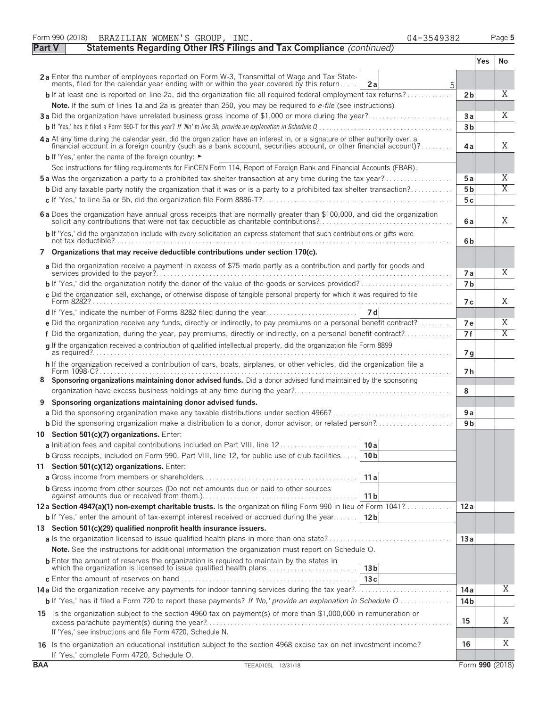|               | Form 990 (2018)<br>BRAZILIAN WOMEN'S GROUP, INC.<br>04-3549382                                                                                                                                                                      |                             |     | Page 5              |
|---------------|-------------------------------------------------------------------------------------------------------------------------------------------------------------------------------------------------------------------------------------|-----------------------------|-----|---------------------|
| <b>Part V</b> | Statements Regarding Other IRS Filings and Tax Compliance (continued)                                                                                                                                                               |                             |     |                     |
|               |                                                                                                                                                                                                                                     |                             | Yes | No                  |
|               | 2a Enter the number of employees reported on Form W-3, Transmittal of Wage and Tax Statements, filed for the calendar year ending with or within the year covered by this return<br>2a                                              |                             |     |                     |
|               | 5<br><b>b</b> If at least one is reported on line 2a, did the organization file all required federal employment tax returns?                                                                                                        | 2 <sub>b</sub>              |     | X                   |
|               | Note. If the sum of lines 1a and 2a is greater than 250, you may be required to e-file (see instructions)                                                                                                                           |                             |     |                     |
|               | 3a Did the organization have unrelated business gross income of \$1,000 or more during the year?                                                                                                                                    | Зa                          |     | X                   |
|               |                                                                                                                                                                                                                                     | 3 <sub>b</sub>              |     |                     |
|               | 4 a At any time during the calendar year, did the organization have an interest in, or a signature or other authority over, a financial account in a foreign country (such as a bank account, securities account, or other fin      | 4a                          |     | X                   |
|               | <b>b</b> If 'Yes,' enter the name of the foreign country: ►                                                                                                                                                                         |                             |     |                     |
|               | See instructions for filing requirements for FinCEN Form 114, Report of Foreign Bank and Financial Accounts (FBAR).                                                                                                                 |                             |     |                     |
|               | <b>5a</b> Was the organization a party to a prohibited tax shelter transaction at any time during the tax year?                                                                                                                     | <b>5a</b><br>5 <sub>b</sub> |     | Χ<br>$\overline{X}$ |
|               | <b>b</b> Did any taxable party notify the organization that it was or is a party to a prohibited tax shelter transaction?                                                                                                           | 5 c                         |     |                     |
|               |                                                                                                                                                                                                                                     |                             |     |                     |
|               | 6 a Does the organization have annual gross receipts that are normally greater than \$100,000, and did the organization solicit any contributions that were not tax deductible as charitable contributions?                         | 6a                          |     | X                   |
|               | b If 'Yes,' did the organization include with every solicitation an express statement that such contributions or gifts were                                                                                                         | 6 <sub>b</sub>              |     |                     |
| 7             | Organizations that may receive deductible contributions under section 170(c).                                                                                                                                                       |                             |     |                     |
|               | a Did the organization receive a payment in excess of \$75 made partly as a contribution and partly for goods and                                                                                                                   | 7 a                         |     | Χ                   |
|               | <b>b</b> If 'Yes,' did the organization notify the donor of the value of the goods or services provided?                                                                                                                            | 7 <sub>b</sub>              |     |                     |
|               | c Did the organization sell, exchange, or otherwise dispose of tangible personal property for which it was required to file                                                                                                         |                             |     |                     |
|               |                                                                                                                                                                                                                                     | 7 с                         |     | Χ                   |
|               |                                                                                                                                                                                                                                     |                             |     | Χ                   |
|               | e Did the organization receive any funds, directly or indirectly, to pay premiums on a personal benefit contract?<br>f Did the organization, during the year, pay premiums, directly or indirectly, on a personal benefit contract? | 7е<br>7f                    |     | $\overline{X}$      |
|               | q If the organization received a contribution of qualified intellectual property, did the organization file Form 8899                                                                                                               |                             |     |                     |
|               |                                                                                                                                                                                                                                     | 7g                          |     |                     |
|               | h If the organization received a contribution of cars, boats, airplanes, or other vehicles, did the organization file a                                                                                                             | 7 h                         |     |                     |
|               | Sponsoring organizations maintaining donor advised funds. Did a donor advised fund maintained by the sponsoring                                                                                                                     | 8                           |     |                     |
| 9             | Sponsoring organizations maintaining donor advised funds.                                                                                                                                                                           |                             |     |                     |
|               |                                                                                                                                                                                                                                     | 9 a                         |     |                     |
|               | <b>b</b> Did the sponsoring organization make a distribution to a donor, donor advisor, or related person?                                                                                                                          | 9 <sub>b</sub>              |     |                     |
|               | Section 501(c)(7) organizations. Enter:                                                                                                                                                                                             |                             |     |                     |
|               | a Initiation fees and capital contributions included on Part VIII, line 12<br>10 a                                                                                                                                                  |                             |     |                     |
|               | <b>b</b> Gross receipts, included on Form 990, Part VIII, line 12, for public use of club facilities<br>10 <sub>b</sub>                                                                                                             |                             |     |                     |
|               | 11 Section 501(c)(12) organizations. Enter:                                                                                                                                                                                         |                             |     |                     |
|               | 11a                                                                                                                                                                                                                                 |                             |     |                     |
|               | <b>b</b> Gross income from other sources (Do not net amounts due or paid to other sources<br>11 <sub>b</sub>                                                                                                                        |                             |     |                     |
|               | 12a Section 4947(a)(1) non-exempt charitable trusts. Is the organization filing Form 990 in lieu of Form 1041?                                                                                                                      | 12a                         |     |                     |
|               | <b>b</b> If 'Yes,' enter the amount of tax-exempt interest received or accrued during the year<br>12b                                                                                                                               |                             |     |                     |
|               | 13 Section 501(c)(29) qualified nonprofit health insurance issuers.                                                                                                                                                                 |                             |     |                     |
|               |                                                                                                                                                                                                                                     | 13a                         |     |                     |
|               | Note. See the instructions for additional information the organization must report on Schedule O.<br><b>b</b> Enter the amount of reserves the organization is required to maintain by the states in                                |                             |     |                     |
|               | 13 <sub>b</sub>                                                                                                                                                                                                                     |                             |     |                     |
|               | 13c<br>14a Did the organization receive any payments for indoor tanning services during the tax year?                                                                                                                               |                             |     | Χ                   |
|               | b If 'Yes,' has it filed a Form 720 to report these payments? If 'No,' provide an explanation in Schedule O                                                                                                                         | 14a<br>14 <sub>b</sub>      |     |                     |
|               |                                                                                                                                                                                                                                     |                             |     |                     |
|               | 15 Is the organization subject to the section 4960 tax on payment(s) of more than \$1,000,000 in remuneration or                                                                                                                    | 15                          |     | Χ                   |
|               | If 'Yes,' see instructions and file Form 4720, Schedule N.                                                                                                                                                                          |                             |     |                     |
|               | 16 Is the organization an educational institution subject to the section 4968 excise tax on net investment income?<br>If 'Yes,' complete Form 4720, Schedule O.                                                                     | 16                          |     | Χ                   |
| <b>BAA</b>    | TEEA0105L 12/31/18                                                                                                                                                                                                                  |                             |     | Form 990 (2018)     |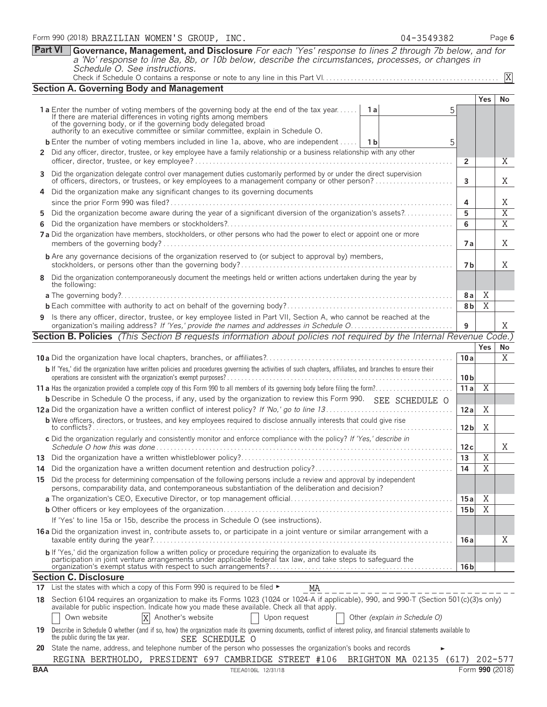|                | <b>Part VI</b><br>Governance, Management, and Disclosure For each 'Yes' response to lines 2 through 7b below, and for                                                                                                                                                  |                 |                |                                  |
|----------------|------------------------------------------------------------------------------------------------------------------------------------------------------------------------------------------------------------------------------------------------------------------------|-----------------|----------------|----------------------------------|
|                | a 'No' response to line 8a, 8b, or 10b below, describe the circumstances, processes, or changes in<br>Schedule O. See instructions.                                                                                                                                    |                 |                |                                  |
|                |                                                                                                                                                                                                                                                                        |                 |                | X                                |
|                | <b>Section A. Governing Body and Management</b>                                                                                                                                                                                                                        |                 |                |                                  |
|                | <b>1a</b> Enter the number of voting members of the governing body at the end of the tax year<br><b>1</b> a<br>5                                                                                                                                                       |                 | <b>Yes</b>     | No                               |
|                | If there are material differences in voting rights among members<br>of the governing body, or if the governing body delegated broad<br>authority to an executive committee or similar committee, explain in Schedule O.                                                |                 |                |                                  |
|                | <b>b</b> Enter the number of voting members included in line 1a, above, who are independent<br>- 1 b<br>5                                                                                                                                                              |                 |                |                                  |
| $\mathbf{2}^-$ | Did any officer, director, trustee, or key employee have a family relationship or a business relationship with any other                                                                                                                                               | $\overline{2}$  |                | X                                |
| 3              | Did the organization delegate control over management duties customarily performed by or under the direct supervision<br>of officers, directors, or trustees, or key employees to a management company or other person?                                                | 3               |                | X                                |
| 4              | Did the organization make any significant changes to its governing documents                                                                                                                                                                                           |                 |                |                                  |
|                |                                                                                                                                                                                                                                                                        | 4               |                | X                                |
| 5<br>6         | Did the organization become aware during the year of a significant diversion of the organization's assets?                                                                                                                                                             | 5<br>6          |                | $\overline{X}$<br>$\overline{X}$ |
|                | 7 a Did the organization have members, stockholders, or other persons who had the power to elect or appoint one or more                                                                                                                                                | <b>7a</b>       |                | X                                |
|                | <b>b</b> Are any governance decisions of the organization reserved to (or subject to approval by) members,                                                                                                                                                             | 7 b             |                | X                                |
| 8              | Did the organization contemporaneously document the meetings held or written actions undertaken during the year by<br>the following:                                                                                                                                   |                 |                |                                  |
|                |                                                                                                                                                                                                                                                                        | 8a              | X              |                                  |
|                |                                                                                                                                                                                                                                                                        | 8 <sub>b</sub>  | X              |                                  |
| 9              | Is there any officer, director, trustee, or key employee listed in Part VII, Section A, who cannot be reached at the                                                                                                                                                   | 9               |                | X                                |
|                | <b>Section B. Policies</b> (This Section B requests information about policies not required by the Internal Revenue Code.)                                                                                                                                             |                 |                |                                  |
|                |                                                                                                                                                                                                                                                                        |                 | <b>Yes</b>     | No                               |
|                |                                                                                                                                                                                                                                                                        | 10a             |                | X                                |
|                | b If 'Yes,' did the organization have written policies and procedures governing the activities of such chapters, affiliates, and branches to ensure their                                                                                                              | 10 <sub>b</sub> |                |                                  |
|                |                                                                                                                                                                                                                                                                        | 11a             | $\overline{X}$ |                                  |
|                | <b>b</b> Describe in Schedule O the process, if any, used by the organization to review this Form 990. SEE SCHEDULE O                                                                                                                                                  |                 |                |                                  |
|                |                                                                                                                                                                                                                                                                        | 12a             | X              |                                  |
|                | <b>b</b> Were officers, directors, or trustees, and key employees required to disclose annually interests that could give rise                                                                                                                                         | 12 <sub>b</sub> | Χ              |                                  |
|                | c Did the organization regularly and consistently monitor and enforce compliance with the policy? If 'Yes,' describe in                                                                                                                                                | 12 c            |                | X                                |
| 13             |                                                                                                                                                                                                                                                                        | 13              | $\overline{X}$ |                                  |
| 14             |                                                                                                                                                                                                                                                                        | 14              | $\overline{X}$ |                                  |
| 15             | Did the process for determining compensation of the following persons include a review and approval by independent<br>persons, comparability data, and contemporaneous substantiation of the deliberation and decision?                                                |                 |                |                                  |
|                |                                                                                                                                                                                                                                                                        | 15 a            | Χ              |                                  |
|                |                                                                                                                                                                                                                                                                        | 15 <sub>b</sub> | $\overline{X}$ |                                  |
|                | If 'Yes' to line 15a or 15b, describe the process in Schedule O (see instructions).                                                                                                                                                                                    |                 |                |                                  |
|                | 16 a Did the organization invest in, contribute assets to, or participate in a joint venture or similar arrangement with a                                                                                                                                             | 16 a            |                | Χ                                |
|                | b If 'Yes,' did the organization follow a written policy or procedure requiring the organization to evaluate its<br>participation in joint venture arrangements under applicable federal tax law, and take steps to safeguard the                                      | 16 <sub>b</sub> |                |                                  |
|                | <b>Section C. Disclosure</b>                                                                                                                                                                                                                                           |                 |                |                                  |
|                | 17 List the states with which a copy of this Form 990 is required to be filed $\blacktriangleright$<br>MA                                                                                                                                                              |                 |                |                                  |
| 18             | ____________________________<br>Section 6104 requires an organization to make its Forms 1023 (1024 or 1024-A if applicable), 990, and 990-T (Section 501(c)(3)s only)<br>available for public inspection. Indicate how you made these available. Check all that apply. |                 |                |                                  |
|                | X Another's website<br>Own website<br>Upon request<br>Other (explain in Schedule O)<br>$\perp$                                                                                                                                                                         |                 |                |                                  |
| 19             | Describe in Schedule O whether (and if so, how) the organization made its governing documents, conflict of interest policy, and financial statements available to<br>the public during the tax year.<br>SEE SCHEDULE O                                                 |                 |                |                                  |
| 20             | State the name, address, and telephone number of the person who possesses the organization's books and records<br>REGINA BERTHOLDO, PRESIDENT 697 CAMBRIDGE STREET #106 BRIGHTON MA 02135 (617) 202-577                                                                |                 |                |                                  |
|                |                                                                                                                                                                                                                                                                        |                 |                |                                  |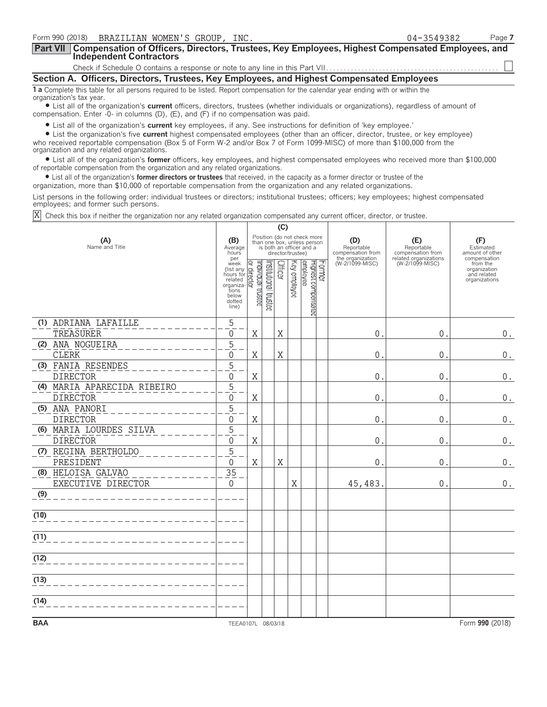| Form 990 (2018) BRAZILIAN WOMEN'S GROUP, INC.                                                                                                                                                                                                                                                                                                                                                                                    | 04-3549382<br>Page 7 |  |
|----------------------------------------------------------------------------------------------------------------------------------------------------------------------------------------------------------------------------------------------------------------------------------------------------------------------------------------------------------------------------------------------------------------------------------|----------------------|--|
| <b>Part VII</b> Compensation of Officers, Directors, Trustees, Key Employees, Highest Compensated Employees, and<br>Independent Contractors                                                                                                                                                                                                                                                                                      |                      |  |
|                                                                                                                                                                                                                                                                                                                                                                                                                                  |                      |  |
| Section A. Officers, Directors, Trustees, Key Employees, and Highest Compensated Employees                                                                                                                                                                                                                                                                                                                                       |                      |  |
| 1 a Complete this table for all persons required to be listed. Report compensation for the calendar year ending with or within the<br>organization's tax year.<br>• List all of the organization's current officers, directors, trustees (whether individuals or organizations), regardless of amount of<br>compensation. Enter -0- in columns (D), (E), and (F) if no compensation was paid.                                    |                      |  |
| • List all of the organization's current key employees, if any. See instructions for definition of 'key employee.'<br>• List the organization's five current highest compensated employees (other than an officer, director, trustee, or key employee)<br>who received reportable compensation (Box 5 of Form W-2 and/or Box 7 of Form 1099-MISC) of more than \$100,000 from the<br>organization and any related organizations. |                      |  |

? List all of the organization's **former** officers, key employees, and highest compensated employees who received more than \$100,000 of reportable compensation from the organization and any related organizations.

? List all of the organization's **former directors or trustees** that received, in the capacity as a former director or trustee of the

organization, more than \$10,000 of reportable compensation from the organization and any related organizations.

List persons in the following order: individual trustees or directors; institutional trustees; officers; key employees; highest compensated employees; and former such persons.

Check this box if neither the organization nor any related organization compensated any current officer, director, or trustee. X

|                                          |                                                                                            | (C)                            |                       |         |                   |                                                                                        |        |                                                            |                                          |                                                          |
|------------------------------------------|--------------------------------------------------------------------------------------------|--------------------------------|-----------------------|---------|-------------------|----------------------------------------------------------------------------------------|--------|------------------------------------------------------------|------------------------------------------|----------------------------------------------------------|
| (A)<br>Name and Title                    | (B)<br>Average<br>hours<br>per                                                             |                                |                       |         | director/trustee) | Position (do not check more<br>than one box, unless person<br>is both an officer and a |        | (D)<br>Reportable<br>compensation from<br>the organization | (E)<br>Reportable<br>compensation from   | (F)<br>Estimated<br>amount of other<br>compensation      |
|                                          | week<br>(list any<br>hours for<br>related<br>organiza<br>tions<br>below<br>dotted<br>line) | Individual trustee<br>director | Institutional trustee | Officer | Key employee      | Highest compensated<br>employee                                                        | Former | (W-2/1099-MISC)                                            | related organizations<br>(W-2/1099-MISC) | from the<br>organization<br>and related<br>organizations |
| (1) ADRIANA LAFAILLE                     | 5                                                                                          |                                |                       |         |                   |                                                                                        |        |                                                            |                                          |                                                          |
| TREASURER                                | $\mathbf{0}$                                                                               | X                              |                       | X       |                   |                                                                                        |        | $\mathsf{0}$                                               | $\mathbf 0$                              | $\boldsymbol{0}$ .                                       |
| (2) ANA NOGUEIRA<br><b>CLERK</b>         | 5<br>$\Omega$                                                                              | X                              |                       | X       |                   |                                                                                        |        | 0                                                          | 0                                        | $0$ .                                                    |
| (3) FANIA RESENDES                       | $\overline{5}$                                                                             |                                |                       |         |                   |                                                                                        |        |                                                            |                                          |                                                          |
| <b>DIRECTOR</b>                          | $\Omega$                                                                                   | X                              |                       |         |                   |                                                                                        |        | 0                                                          | 0                                        | $0$ .                                                    |
| (4) MARIA APARECIDA RIBEIRO              | $\overline{5}$                                                                             |                                |                       |         |                   |                                                                                        |        |                                                            |                                          |                                                          |
| <b>DIRECTOR</b>                          | $\Omega$                                                                                   | Χ                              |                       |         |                   |                                                                                        |        | 0                                                          | 0                                        | 0.                                                       |
| (5) ANA PANORI<br><b>DIRECTOR</b>        | 5<br>$\Omega$                                                                              | X                              |                       |         |                   |                                                                                        |        | 0                                                          | 0                                        | $0$ .                                                    |
| (6) MARIA LOURDES SILVA                  | 5                                                                                          |                                |                       |         |                   |                                                                                        |        |                                                            |                                          |                                                          |
| <b>DIRECTOR</b>                          | $\Omega$                                                                                   | $\rm X$                        |                       |         |                   |                                                                                        |        | $\Omega$                                                   | $\Omega$                                 | 0.                                                       |
| (7) REGINA BERTHOLDO                     | 5                                                                                          |                                |                       |         |                   |                                                                                        |        |                                                            |                                          |                                                          |
| PRESIDENT                                | $\Omega$                                                                                   | $\mathbf X$                    |                       | X       |                   |                                                                                        |        | $\Omega$                                                   | $\mathbf 0$                              | $\boldsymbol{0}$ .                                       |
| (8) HELOISA GALVAO<br>EXECUTIVE DIRECTOR | 35<br>$\mathbf{0}$                                                                         |                                |                       |         | Χ                 |                                                                                        |        | 45, 483.                                                   | $\mathbf{0}$                             | $0$ .                                                    |
| (9)                                      |                                                                                            |                                |                       |         |                   |                                                                                        |        |                                                            |                                          |                                                          |
| (10)                                     |                                                                                            |                                |                       |         |                   |                                                                                        |        |                                                            |                                          |                                                          |
| (11)                                     |                                                                                            |                                |                       |         |                   |                                                                                        |        |                                                            |                                          |                                                          |
| (12)                                     |                                                                                            |                                |                       |         |                   |                                                                                        |        |                                                            |                                          |                                                          |
| (13)                                     |                                                                                            |                                |                       |         |                   |                                                                                        |        |                                                            |                                          |                                                          |
| (14)                                     |                                                                                            |                                |                       |         |                   |                                                                                        |        |                                                            |                                          |                                                          |
| <b>BAA</b>                               | TEEA0107L 08/03/18                                                                         |                                |                       |         |                   |                                                                                        |        |                                                            |                                          | Form 990 (2018)                                          |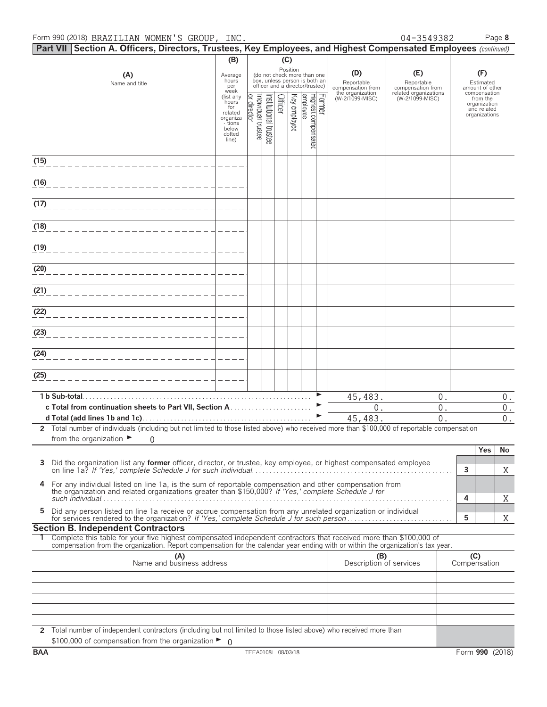|      | Part VII Section A. Officers, Directors, Trustees, Key Employees, and Highest Compensated Employees (continued)                                                                                                                                        |                                                                                                     |                                   |                       |         |              |                                                                                                             |        |                                        |                                          |                                                                          |
|------|--------------------------------------------------------------------------------------------------------------------------------------------------------------------------------------------------------------------------------------------------------|-----------------------------------------------------------------------------------------------------|-----------------------------------|-----------------------|---------|--------------|-------------------------------------------------------------------------------------------------------------|--------|----------------------------------------|------------------------------------------|--------------------------------------------------------------------------|
|      |                                                                                                                                                                                                                                                        | (B)                                                                                                 |                                   |                       | (C)     |              |                                                                                                             |        |                                        |                                          |                                                                          |
|      | (A)<br>Name and title                                                                                                                                                                                                                                  | Average<br>hours<br>per                                                                             |                                   |                       |         |              | Position<br>(do not check more than one<br>box, unless person is both an<br>officer and a director/trustee) |        | (D)<br>Reportable<br>compensation from | (E)<br>Reportable<br>compensation from   | (F)<br>Estimated<br>amount of other                                      |
|      |                                                                                                                                                                                                                                                        | week<br>(list any<br>hours <sup>7</sup><br>for<br>related<br>organiza<br>- tions<br>below<br>dotted | Individual trustee<br>or director | Institutional trustee | Officer | Key employee | employee<br>Highest compensated                                                                             | Former | the organization<br>(W-2/1099-MISC)    | related organizations<br>(W-2/1099-MISC) | compensation<br>from the<br>organization<br>and related<br>organizations |
|      |                                                                                                                                                                                                                                                        | line)                                                                                               |                                   |                       |         |              |                                                                                                             |        |                                        |                                          |                                                                          |
| (15) |                                                                                                                                                                                                                                                        |                                                                                                     |                                   |                       |         |              |                                                                                                             |        |                                        |                                          |                                                                          |
| (16) | _______________________                                                                                                                                                                                                                                |                                                                                                     |                                   |                       |         |              |                                                                                                             |        |                                        |                                          |                                                                          |
| (17) | ______________________                                                                                                                                                                                                                                 |                                                                                                     |                                   |                       |         |              |                                                                                                             |        |                                        |                                          |                                                                          |
| (18) |                                                                                                                                                                                                                                                        |                                                                                                     |                                   |                       |         |              |                                                                                                             |        |                                        |                                          |                                                                          |
| (19) |                                                                                                                                                                                                                                                        |                                                                                                     |                                   |                       |         |              |                                                                                                             |        |                                        |                                          |                                                                          |
| (20) | ______________________                                                                                                                                                                                                                                 |                                                                                                     |                                   |                       |         |              |                                                                                                             |        |                                        |                                          |                                                                          |
| (21) |                                                                                                                                                                                                                                                        |                                                                                                     |                                   |                       |         |              |                                                                                                             |        |                                        |                                          |                                                                          |
| (22) | _______________________                                                                                                                                                                                                                                |                                                                                                     |                                   |                       |         |              |                                                                                                             |        |                                        |                                          |                                                                          |
| (23) | _______________________                                                                                                                                                                                                                                |                                                                                                     |                                   |                       |         |              |                                                                                                             |        |                                        |                                          |                                                                          |
| (24) | _______________________                                                                                                                                                                                                                                |                                                                                                     |                                   |                       |         |              |                                                                                                             |        |                                        |                                          |                                                                          |
| (25) |                                                                                                                                                                                                                                                        |                                                                                                     |                                   |                       |         |              |                                                                                                             |        |                                        |                                          |                                                                          |
|      |                                                                                                                                                                                                                                                        |                                                                                                     |                                   |                       |         |              |                                                                                                             |        | 45,483.                                | 0.                                       | $0$ .                                                                    |
|      |                                                                                                                                                                                                                                                        |                                                                                                     |                                   |                       |         |              |                                                                                                             |        | 0.                                     | 0.                                       | $\mathbf 0$ .                                                            |
|      |                                                                                                                                                                                                                                                        |                                                                                                     |                                   |                       |         |              |                                                                                                             |        | 45,483.                                | $\overline{0}$ .                         | $\boldsymbol{0}$ .                                                       |
|      | 2 Total number of individuals (including but not limited to those listed above) who received more than \$100,000 of reportable compensation<br>from the organization $\blacktriangleright$<br>0                                                        |                                                                                                     |                                   |                       |         |              |                                                                                                             |        |                                        |                                          |                                                                          |
| 3    | Did the organization list any former officer, director, or trustee, key employee, or highest compensated employee                                                                                                                                      |                                                                                                     |                                   |                       |         |              |                                                                                                             |        |                                        |                                          | Yes<br>No<br>3<br>X                                                      |
| 4    | For any individual listed on line 1a, is the sum of reportable compensation and other compensation from<br>the organization and related organizations greater than \$150,000? If 'Yes,' complete Schedule J for                                        |                                                                                                     |                                   |                       |         |              |                                                                                                             |        |                                        |                                          | 4                                                                        |
| 5    | Did any person listed on line 1a receive or accrue compensation from any unrelated organization or individual                                                                                                                                          |                                                                                                     |                                   |                       |         |              |                                                                                                             |        |                                        |                                          | Χ<br>5<br>Χ                                                              |
|      | <b>Section B. Independent Contractors</b>                                                                                                                                                                                                              |                                                                                                     |                                   |                       |         |              |                                                                                                             |        |                                        |                                          |                                                                          |
|      | Complete this table for your five highest compensated independent contractors that received more than \$100,000 of<br>compensation from the organization. Report compensation for the calendar year ending with or within the organization's tax year. |                                                                                                     |                                   |                       |         |              |                                                                                                             |        |                                        |                                          |                                                                          |
|      | (A)<br>Name and business address                                                                                                                                                                                                                       |                                                                                                     |                                   |                       |         |              |                                                                                                             |        | (B)<br>Description of services         |                                          | (C)<br>Compensation                                                      |
|      |                                                                                                                                                                                                                                                        |                                                                                                     |                                   |                       |         |              |                                                                                                             |        |                                        |                                          |                                                                          |
|      |                                                                                                                                                                                                                                                        |                                                                                                     |                                   |                       |         |              |                                                                                                             |        |                                        |                                          |                                                                          |
|      |                                                                                                                                                                                                                                                        |                                                                                                     |                                   |                       |         |              |                                                                                                             |        |                                        |                                          |                                                                          |
|      |                                                                                                                                                                                                                                                        |                                                                                                     |                                   |                       |         |              |                                                                                                             |        |                                        |                                          |                                                                          |
|      | 2 Total number of independent contractors (including but not limited to those listed above) who received more than<br>\$100,000 of compensation from the organization $\blacktriangleright$ 0                                                          |                                                                                                     |                                   |                       |         |              |                                                                                                             |        |                                        |                                          |                                                                          |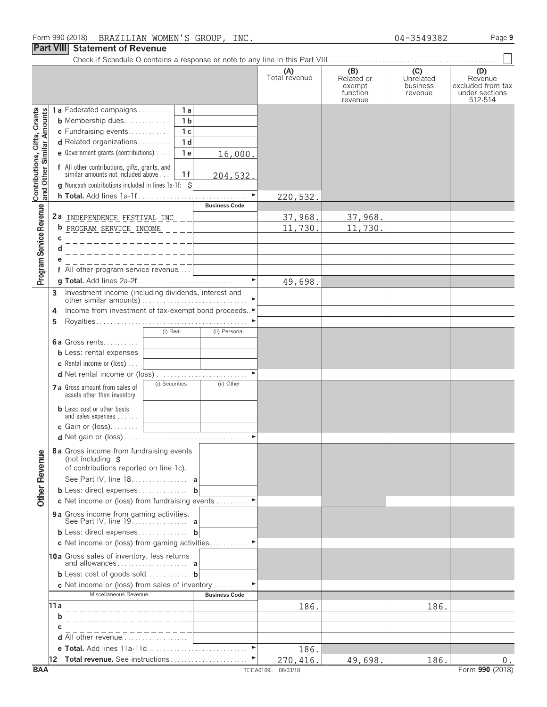#### **Part VIII Statement of Revenue**

|                                                           |                                                                                                            | Total revenue | Related or<br>exempt<br>function | Unrelated<br>business<br>revenue | Revenue<br>excluded from tax<br>under sections<br>512-514 |
|-----------------------------------------------------------|------------------------------------------------------------------------------------------------------------|---------------|----------------------------------|----------------------------------|-----------------------------------------------------------|
|                                                           | 1a Federated campaigns<br>1a                                                                               |               | revenue                          |                                  |                                                           |
|                                                           | 1 <sub>b</sub><br><b>b</b> Membership dues                                                                 |               |                                  |                                  |                                                           |
|                                                           | $\overline{1}c$<br>c Fundraising events                                                                    |               |                                  |                                  |                                                           |
|                                                           | $\overline{1}$ d<br>d Related organizations                                                                |               |                                  |                                  |                                                           |
|                                                           |                                                                                                            |               |                                  |                                  |                                                           |
|                                                           | 1e<br>e Government grants (contributions)<br>16,000.                                                       |               |                                  |                                  |                                                           |
| Contributions, Gifts, Grants<br>and Other Similar Amounts | <b>f</b> All other contributions, gifts, grants, and similar amounts not included above<br>1f<br>204, 532. |               |                                  |                                  |                                                           |
|                                                           | <b>g</b> Noncash contributions included in lines $1a-1f$ : $\zeta$                                         |               |                                  |                                  |                                                           |
|                                                           | <b>h Total.</b> Add lines 1a-1f                                                                            | 220,532.      |                                  |                                  |                                                           |
| Program Service Revenue                                   | <b>Business Code</b>                                                                                       |               |                                  |                                  |                                                           |
|                                                           | 2a INDEPENDENCE FESTIVAL INC _ _ ____________                                                              | 37,968.       | 37,968.                          |                                  |                                                           |
|                                                           | b PROGRAM SERVICE INCOME ____ L                                                                            | 11,730        | 11,730                           |                                  |                                                           |
|                                                           | c<br>________________                                                                                      |               |                                  |                                  |                                                           |
|                                                           | ______________                                                                                             |               |                                  |                                  |                                                           |
|                                                           |                                                                                                            |               |                                  |                                  |                                                           |
|                                                           |                                                                                                            |               |                                  |                                  |                                                           |
|                                                           |                                                                                                            | 49,698.       |                                  |                                  |                                                           |
|                                                           | Investment income (including dividends, interest and<br>3                                                  |               |                                  |                                  |                                                           |
|                                                           |                                                                                                            |               |                                  |                                  |                                                           |
|                                                           | Income from investment of tax-exempt bond proceeds<br>4                                                    |               |                                  |                                  |                                                           |
|                                                           | 5                                                                                                          |               |                                  |                                  |                                                           |
|                                                           | (i) Real<br>(ii) Personal                                                                                  |               |                                  |                                  |                                                           |
|                                                           | <b>6a</b> Gross rents                                                                                      |               |                                  |                                  |                                                           |
|                                                           | <b>b</b> Less: rental expenses                                                                             |               |                                  |                                  |                                                           |
|                                                           | <b>c</b> Rental income or (loss) $\ldots$                                                                  |               |                                  |                                  |                                                           |
|                                                           |                                                                                                            |               |                                  |                                  |                                                           |
|                                                           | (i) Securities<br>(ii) Other<br>7 a Gross amount from sales of                                             |               |                                  |                                  |                                                           |
|                                                           | assets other than inventory                                                                                |               |                                  |                                  |                                                           |
|                                                           | <b>b</b> Less: cost or other basis                                                                         |               |                                  |                                  |                                                           |
|                                                           | and sales expenses                                                                                         |               |                                  |                                  |                                                           |
|                                                           | c Gain or (loss)<br><u> The Common State Common State Common</u>                                           |               |                                  |                                  |                                                           |
|                                                           |                                                                                                            |               |                                  |                                  |                                                           |
|                                                           | 8a Gross income from fundraising events                                                                    |               |                                  |                                  |                                                           |
| levenue                                                   | (not including $$$                                                                                         |               |                                  |                                  |                                                           |
|                                                           | of contributions reported on line 1c).                                                                     |               |                                  |                                  |                                                           |
| ᄔ                                                         | See Part IV, line 18.                                                                                      |               |                                  |                                  |                                                           |
| <b>Other</b>                                              | b Less: direct expenses b                                                                                  |               |                                  |                                  |                                                           |
|                                                           | c Net income or (loss) from fundraising events                                                             |               |                                  |                                  |                                                           |
|                                                           | 9 a Gross income from gaming activities.                                                                   |               |                                  |                                  |                                                           |
|                                                           | <b>b</b> Less: direct expenses <b>b</b>                                                                    |               |                                  |                                  |                                                           |
|                                                           | c Net income or (loss) from gaming activities                                                              |               |                                  |                                  |                                                           |
|                                                           | 10a Gross sales of inventory, less returns                                                                 |               |                                  |                                  |                                                           |
|                                                           | <b>b</b> Less: cost of goods sold <b>b</b>                                                                 |               |                                  |                                  |                                                           |
|                                                           | <b>c</b> Net income or (loss) from sales of inventory                                                      |               |                                  |                                  |                                                           |
|                                                           | Miscellaneous Revenue<br><b>Business Code</b>                                                              |               |                                  |                                  |                                                           |
|                                                           | 11 a                                                                                                       | 186.          |                                  | 186.                             |                                                           |
|                                                           | b                                                                                                          |               |                                  |                                  |                                                           |
|                                                           | с                                                                                                          |               |                                  |                                  |                                                           |
|                                                           | <b>d</b> All other revenue $\ldots$ , $\ldots$                                                             |               |                                  |                                  |                                                           |
|                                                           | $\blacktriangleright$                                                                                      | 186.          |                                  |                                  |                                                           |
|                                                           |                                                                                                            | 270,416.      | 49,698.                          | 186.                             | 0.                                                        |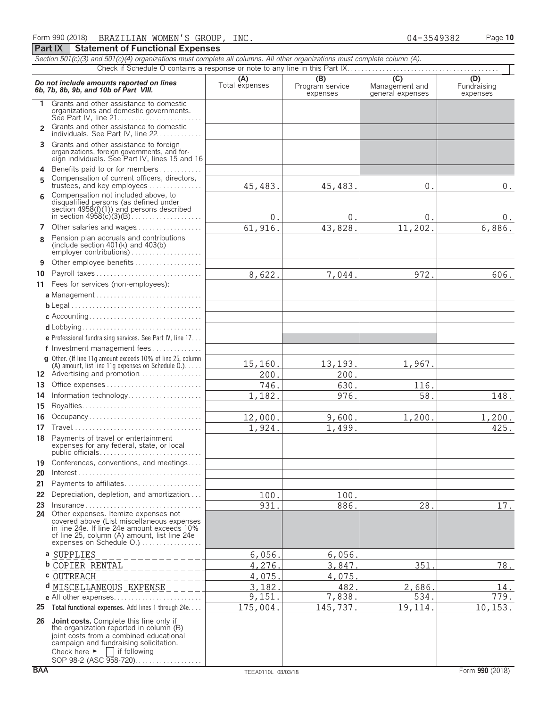| Section 501(c)(3) and 501(c)(4) organizations must complete all columns. All other organizations must complete column (A). |                                                                                                                                                                                                                                            |                       |                                    |                                           |                                |  |  |  |  |  |
|----------------------------------------------------------------------------------------------------------------------------|--------------------------------------------------------------------------------------------------------------------------------------------------------------------------------------------------------------------------------------------|-----------------------|------------------------------------|-------------------------------------------|--------------------------------|--|--|--|--|--|
|                                                                                                                            |                                                                                                                                                                                                                                            |                       |                                    |                                           |                                |  |  |  |  |  |
|                                                                                                                            | Do not include amounts reported on lines<br>6b, 7b, 8b, 9b, and 10b of Part VIII.                                                                                                                                                          | (A)<br>Total expenses | (B)<br>Program service<br>expenses | (C)<br>Management and<br>general expenses | (D)<br>Fundraising<br>expenses |  |  |  |  |  |
| 1                                                                                                                          | Grants and other assistance to domestic<br>organizations and domestic governments.                                                                                                                                                         |                       |                                    |                                           |                                |  |  |  |  |  |
| $\mathcal{P}$                                                                                                              | Grants and other assistance to domestic<br>individuals. See Part IV, line 22                                                                                                                                                               |                       |                                    |                                           |                                |  |  |  |  |  |
|                                                                                                                            | 3 Grants and other assistance to foreign<br>organizations, foreign governments, and for-<br>eign individuals. See Part IV, lines 15 and 16                                                                                                 |                       |                                    |                                           |                                |  |  |  |  |  |
| 4<br>5                                                                                                                     | Benefits paid to or for members<br>Compensation of current officers, directors,                                                                                                                                                            |                       |                                    |                                           |                                |  |  |  |  |  |
|                                                                                                                            | trustees, and key employees<br>Compensation not included above, to                                                                                                                                                                         | 45, 483.              | 45, 483.                           | 0.                                        | $0$ .                          |  |  |  |  |  |
| 6                                                                                                                          | disqualified persons (as defined under<br>section 4958(f)(1)) and persons described<br>in section 4958(c)(3)(B)                                                                                                                            | $\mathsf{0}$ .        | $\overline{0}$ .                   | $\mathbf{0}$ .                            | 0.                             |  |  |  |  |  |
| 7                                                                                                                          | Other salaries and wages                                                                                                                                                                                                                   | 61,916.               | 43,828.                            | 11,202.                                   | 6,886.                         |  |  |  |  |  |
| 8                                                                                                                          | Pension plan accruals and contributions<br>(include section $401(k)$ and $403(b)$<br>employer contributions)                                                                                                                               |                       |                                    |                                           |                                |  |  |  |  |  |
| 9                                                                                                                          | Other employee benefits                                                                                                                                                                                                                    |                       |                                    |                                           |                                |  |  |  |  |  |
| 10                                                                                                                         | Payroll taxes                                                                                                                                                                                                                              | 8,622.                | 7,044.                             | 972.                                      | 606.                           |  |  |  |  |  |
|                                                                                                                            | 11 Fees for services (non-employees):                                                                                                                                                                                                      |                       |                                    |                                           |                                |  |  |  |  |  |
|                                                                                                                            |                                                                                                                                                                                                                                            |                       |                                    |                                           |                                |  |  |  |  |  |
|                                                                                                                            |                                                                                                                                                                                                                                            |                       |                                    |                                           |                                |  |  |  |  |  |
|                                                                                                                            |                                                                                                                                                                                                                                            |                       |                                    |                                           |                                |  |  |  |  |  |
|                                                                                                                            |                                                                                                                                                                                                                                            |                       |                                    |                                           |                                |  |  |  |  |  |
|                                                                                                                            | e Professional fundraising services. See Part IV, line 17                                                                                                                                                                                  |                       |                                    |                                           |                                |  |  |  |  |  |
|                                                                                                                            | f Investment management fees<br>g Other. (If line 11q amount exceeds 10% of line 25, column                                                                                                                                                |                       |                                    |                                           |                                |  |  |  |  |  |
|                                                                                                                            | (A) amount, list line 11g expenses on Schedule $0.$ )                                                                                                                                                                                      | 15,160.               | 13,193.                            | 1,967.                                    |                                |  |  |  |  |  |
|                                                                                                                            | 12 Advertising and promotion                                                                                                                                                                                                               | 200.                  | 200.                               |                                           |                                |  |  |  |  |  |
| 13                                                                                                                         |                                                                                                                                                                                                                                            | 746.                  | 630.                               | 116.                                      |                                |  |  |  |  |  |
| 14                                                                                                                         | Information technology                                                                                                                                                                                                                     | 1,182.                | 976.                               | 58.                                       | 148.                           |  |  |  |  |  |
| 15                                                                                                                         | Royalties                                                                                                                                                                                                                                  |                       |                                    |                                           |                                |  |  |  |  |  |
| 16                                                                                                                         | Occupancy                                                                                                                                                                                                                                  | 12,000.               | 9,600.                             | 1,200                                     | 1,200.                         |  |  |  |  |  |
| 17                                                                                                                         |                                                                                                                                                                                                                                            | 1,924.                | 1,499.                             |                                           | 425.                           |  |  |  |  |  |
|                                                                                                                            | 18 Payments of travel or entertainment<br>expenses for any federal, state, or local<br>public officials                                                                                                                                    |                       |                                    |                                           |                                |  |  |  |  |  |
| 19                                                                                                                         | Conferences, conventions, and meetings                                                                                                                                                                                                     |                       |                                    |                                           |                                |  |  |  |  |  |
| 20                                                                                                                         |                                                                                                                                                                                                                                            |                       |                                    |                                           |                                |  |  |  |  |  |
| 21                                                                                                                         | Payments to affiliates                                                                                                                                                                                                                     |                       |                                    |                                           |                                |  |  |  |  |  |
| 22                                                                                                                         | Depreciation, depletion, and amortization                                                                                                                                                                                                  | 100.                  | 100.                               |                                           |                                |  |  |  |  |  |
| 23<br>24                                                                                                                   | Insurance<br>Other expenses. Itemize expenses not                                                                                                                                                                                          | 931.                  | 886.                               | 28.                                       | 17.                            |  |  |  |  |  |
|                                                                                                                            | covered above (List miscellaneous expenses<br>in line 24e. If line 24e amount exceeds 10%<br>of line 25, column (A) amount, list line 24e<br>expenses on Schedule O.)                                                                      |                       |                                    |                                           |                                |  |  |  |  |  |
|                                                                                                                            | a SUPPLIES                                                                                                                                                                                                                                 | 6,056.                | 6,056.                             |                                           |                                |  |  |  |  |  |
|                                                                                                                            | $- - - - - - -$<br><b>b</b> COPIER RENTAL                                                                                                                                                                                                  | 4,276                 | 3,847                              | 351                                       | 78.                            |  |  |  |  |  |
|                                                                                                                            | <b>c</b> OUTREACH                                                                                                                                                                                                                          | 4,075                 | 4,075                              |                                           |                                |  |  |  |  |  |
|                                                                                                                            | d MISCELLANEOUS EXPENSE                                                                                                                                                                                                                    | 3,182                 | 482                                | 2,686.                                    | 14.                            |  |  |  |  |  |
|                                                                                                                            |                                                                                                                                                                                                                                            | 9,151.                | 7,838.                             | 534.                                      | 779.                           |  |  |  |  |  |
|                                                                                                                            | 25 Total functional expenses. Add lines 1 through 24e.                                                                                                                                                                                     | 175,004.              | 145,737.                           | 19,114.                                   | 10, 153.                       |  |  |  |  |  |
|                                                                                                                            | 26 Joint costs. Complete this line only if<br>the organization reported in column (B)<br>joint costs from a combined educational<br>campaign and fundraising solicitation.<br>Check here $\blacktriangleright$ $\blacksquare$ if following |                       |                                    |                                           |                                |  |  |  |  |  |

SOP 98-2 (ASC 958-720). . . . . . . . . . . . . . . . .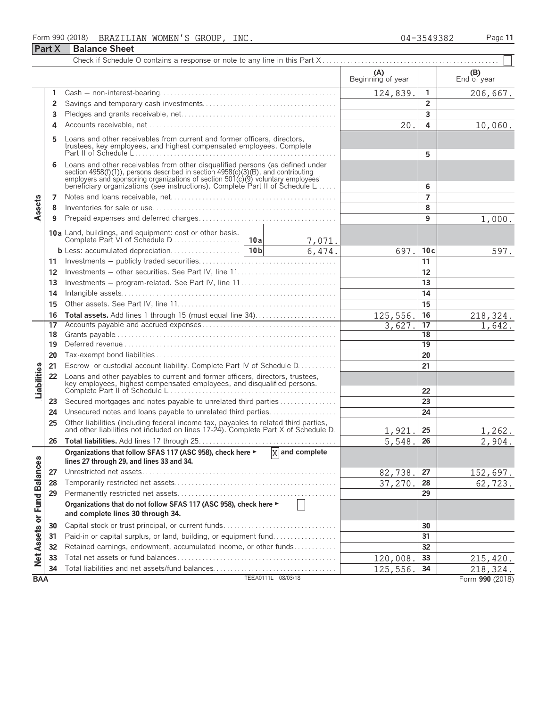# **Part X** Balance Sheet

|                             |                |                                                                                                                                                                                                                                                                                                                      |                    |                  | (A)<br>Beginning of year |                 | (B)<br>End of year     |
|-----------------------------|----------------|----------------------------------------------------------------------------------------------------------------------------------------------------------------------------------------------------------------------------------------------------------------------------------------------------------------------|--------------------|------------------|--------------------------|-----------------|------------------------|
|                             | 1              |                                                                                                                                                                                                                                                                                                                      |                    |                  | 124,839.                 | 1               | 206,667.               |
|                             | $\overline{2}$ |                                                                                                                                                                                                                                                                                                                      |                    |                  |                          | $\overline{2}$  |                        |
|                             | 3              |                                                                                                                                                                                                                                                                                                                      |                    |                  |                          | 3               |                        |
|                             | 4              |                                                                                                                                                                                                                                                                                                                      |                    |                  | 20.                      | 4               | 10,060.                |
|                             | 5              | Loans and other receivables from current and former officers, directors,<br>trustees, key employees, and highest compensated employees. Complete                                                                                                                                                                     |                    |                  |                          | 5               |                        |
|                             | 6              | Loans and other receivables from other disqualified persons (as defined under<br>section 4958(f)(1)), persons described in section 4958(c)(3)(B), and contributing<br>employers and sponsoring organizations of section 501(c)(9) voluntary employees'<br>beneficiary organizations (see instructions). Complete Par |                    |                  |                          | 6               |                        |
|                             | 7              |                                                                                                                                                                                                                                                                                                                      |                    |                  |                          | $\overline{7}$  |                        |
| Assets                      | 8              |                                                                                                                                                                                                                                                                                                                      |                    |                  |                          | 8               |                        |
|                             | 9              |                                                                                                                                                                                                                                                                                                                      |                    |                  |                          | 9               | 1,000.                 |
|                             |                |                                                                                                                                                                                                                                                                                                                      |                    | 7,071.           |                          |                 |                        |
|                             |                |                                                                                                                                                                                                                                                                                                                      |                    | 6,474.           | 697.                     | 10c             | 597.                   |
|                             |                |                                                                                                                                                                                                                                                                                                                      |                    |                  |                          | 11              |                        |
|                             | 12             | Investments - other securities. See Part IV, line 11                                                                                                                                                                                                                                                                 |                    |                  |                          | 12              |                        |
|                             | 13             | Investments - program-related. See Part IV, line 11                                                                                                                                                                                                                                                                  |                    |                  |                          | 13              |                        |
|                             | 14             |                                                                                                                                                                                                                                                                                                                      |                    |                  |                          | 14              |                        |
|                             | 15             |                                                                                                                                                                                                                                                                                                                      |                    | 15               |                          |                 |                        |
|                             | 16             |                                                                                                                                                                                                                                                                                                                      |                    |                  | 125,556.                 | 16              | 218,324.               |
|                             | 17             |                                                                                                                                                                                                                                                                                                                      |                    |                  | 3,627.                   | 17              | 1,642.                 |
|                             | 18             |                                                                                                                                                                                                                                                                                                                      |                    |                  |                          | $\overline{18}$ |                        |
|                             | 19             |                                                                                                                                                                                                                                                                                                                      |                    |                  |                          | 19              |                        |
|                             | 20             |                                                                                                                                                                                                                                                                                                                      |                    |                  |                          | 20              |                        |
|                             | 21             | Escrow or custodial account liability. Complete Part IV of Schedule D.                                                                                                                                                                                                                                               |                    |                  |                          | 21              |                        |
| Liabilities                 | 22             | Loans and other payables to current and former officers, directors, trustees,                                                                                                                                                                                                                                        |                    |                  |                          | 22              |                        |
|                             | 23             | Secured mortgages and notes payable to unrelated third parties                                                                                                                                                                                                                                                       |                    |                  |                          | 23              |                        |
|                             | 24             | Unsecured notes and loans payable to unrelated third parties                                                                                                                                                                                                                                                         |                    |                  |                          | 24              |                        |
|                             | 25             | Other liabilities (including federal income tax, payables to related third parties, and other liabilities not included on lines 17-24). Complete Part X of Schedule D.                                                                                                                                               |                    |                  | 1,921.                   | 25              | 1,262.                 |
|                             | 26             |                                                                                                                                                                                                                                                                                                                      |                    |                  | 5,548.                   | 26              | 2,904.                 |
|                             |                | Organizations that follow SFAS 117 (ASC 958), check here ►<br>lines 27 through 29, and lines 33 and 34.                                                                                                                                                                                                              |                    | $X$ and complete |                          |                 |                        |
|                             | 27             |                                                                                                                                                                                                                                                                                                                      |                    |                  | 82,738.                  | 27              | 152,697.               |
|                             | 28             |                                                                                                                                                                                                                                                                                                                      |                    |                  | 37,270.                  | 28              | $\overline{62}$ , 723. |
|                             | 29             |                                                                                                                                                                                                                                                                                                                      |                    |                  |                          | 29              |                        |
| Net Assets or Fund Balances |                | Organizations that do not follow SFAS 117 (ASC 958), check here ►<br>and complete lines 30 through 34.                                                                                                                                                                                                               |                    |                  |                          |                 |                        |
|                             | 30             | Capital stock or trust principal, or current funds                                                                                                                                                                                                                                                                   |                    |                  |                          | 30              |                        |
|                             | 31             | Paid-in or capital surplus, or land, building, or equipment fund                                                                                                                                                                                                                                                     |                    |                  |                          | 31              |                        |
|                             | 32             | Retained earnings, endowment, accumulated income, or other funds                                                                                                                                                                                                                                                     |                    |                  |                          | 32              |                        |
|                             | 33             |                                                                                                                                                                                                                                                                                                                      |                    |                  | 120,008.                 | 33              | 215,420.               |
|                             | 34             | Total liabilities and net assets/fund balances                                                                                                                                                                                                                                                                       |                    |                  | 125,556.                 | 34              | 218,324.               |
| <b>BAA</b>                  |                |                                                                                                                                                                                                                                                                                                                      | TEEA0111L 08/03/18 |                  |                          |                 | Form 990 (2018)        |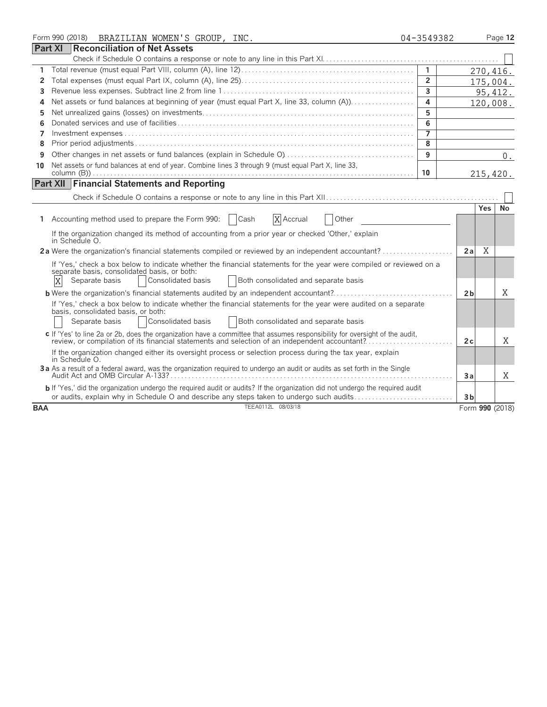|            | Form 990 (2018) BRAZILIAN WOMEN'S GROUP, INC.                                                                                                                                                                                 | 04-3549382     |                 | Page 12   |
|------------|-------------------------------------------------------------------------------------------------------------------------------------------------------------------------------------------------------------------------------|----------------|-----------------|-----------|
|            | <b>Part XI</b><br><b>Reconciliation of Net Assets</b>                                                                                                                                                                         |                |                 |           |
|            |                                                                                                                                                                                                                               |                |                 |           |
| 1.         |                                                                                                                                                                                                                               | $\overline{1}$ | 270,416.        |           |
| 2          |                                                                                                                                                                                                                               | $\overline{2}$ | 175,004.        |           |
| 3          |                                                                                                                                                                                                                               | $\overline{3}$ |                 | 95, 412.  |
| 4          | Net assets or fund balances at beginning of year (must equal Part X, line 33, column (A))                                                                                                                                     | 4              | 120,008.        |           |
| 5          |                                                                                                                                                                                                                               | 5              |                 |           |
| 6          |                                                                                                                                                                                                                               | 6              |                 |           |
| 7          |                                                                                                                                                                                                                               | $\overline{7}$ |                 |           |
| 8          |                                                                                                                                                                                                                               | $\overline{8}$ |                 |           |
| 9          |                                                                                                                                                                                                                               | 9              |                 | 0.        |
| 10         | Net assets or fund balances at end of year. Combine lines 3 through 9 (must equal Part X, line 33,                                                                                                                            |                |                 |           |
|            |                                                                                                                                                                                                                               | 10             | 215,420.        |           |
|            | <b>Part XII Financial Statements and Reporting</b>                                                                                                                                                                            |                |                 |           |
|            |                                                                                                                                                                                                                               |                |                 |           |
|            |                                                                                                                                                                                                                               |                | <b>Yes</b>      | <b>No</b> |
| 1          | Accounting method used to prepare the Form 990:<br>X Accrual<br>  Cash<br>Other                                                                                                                                               |                |                 |           |
|            | If the organization changed its method of accounting from a prior year or checked 'Other,' explain                                                                                                                            |                |                 |           |
|            | in Schedule O.                                                                                                                                                                                                                |                |                 |           |
|            | 2a Were the organization's financial statements compiled or reviewed by an independent accountant?                                                                                                                            |                | X<br>2a         |           |
|            | If 'Yes,' check a box below to indicate whether the financial statements for the year were compiled or reviewed on a                                                                                                          |                |                 |           |
|            | separate basis, consolidated basis, or both:                                                                                                                                                                                  |                |                 |           |
|            | X<br>Consolidated basis<br>Both consolidated and separate basis<br>Separate basis                                                                                                                                             |                |                 |           |
|            | <b>b</b> Were the organization's financial statements audited by an independent accountant?                                                                                                                                   |                | 2 <sub>b</sub>  | X         |
|            | If 'Yes,' check a box below to indicate whether the financial statements for the year were audited on a separate<br>basis, consolidated basis, or both:                                                                       |                |                 |           |
|            | Consolidated basis<br><b>Both consolidated and separate basis</b><br>Separate basis                                                                                                                                           |                |                 |           |
|            |                                                                                                                                                                                                                               |                |                 |           |
|            | c If 'Yes' to line 2a or 2b, does the organization have a committee that assumes responsibility for oversight of the audit,<br>review, or compilation of its financial statements and selection of an independent accountant? |                | 2c              | X         |
|            | If the organization changed either its oversight process or selection process during the tax year, explain                                                                                                                    |                |                 |           |
|            | in Schedule O.                                                                                                                                                                                                                |                |                 |           |
|            | 3a As a result of a federal award, was the organization required to undergo an audit or audits as set forth in the Single                                                                                                     |                | Зa              | X         |
|            |                                                                                                                                                                                                                               |                |                 |           |
|            | b If 'Yes,' did the organization undergo the required audit or audits? If the organization did not undergo the required audit<br>or audits, explain why in Schedule O and describe any steps taken to undergo such audits     |                | 3 <sub>b</sub>  |           |
| <b>BAA</b> | TEEA0112L 08/03/18                                                                                                                                                                                                            |                | Form 990 (2018) |           |
|            |                                                                                                                                                                                                                               |                |                 |           |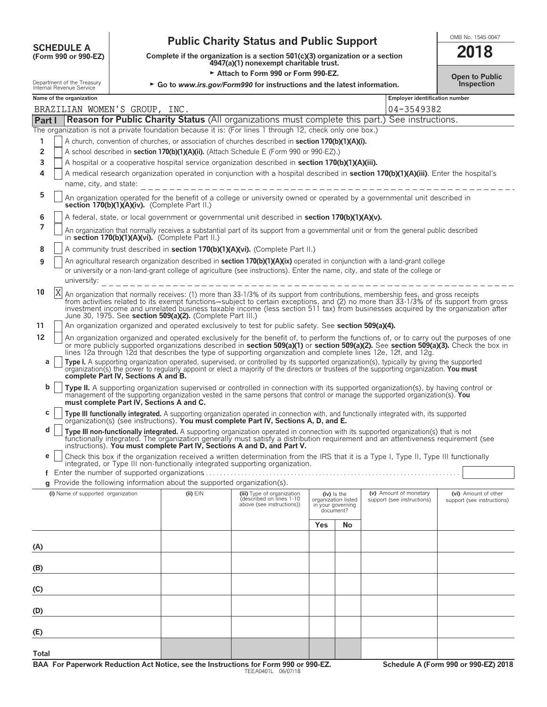| <b>SCHEDULE A</b>    |  |  |
|----------------------|--|--|
| (Form 990 or 990-F7) |  |  |

## **Public Charity Status and Public Support SUPPORT ALL ACT A**

**COMPOUTE A**<br>
(Form 990 or 990-EZ) Complete if the organization is a section 501(c)(3) organization or a section<br>
4947(a)(1) nonexempt charitable trust.

Extach to Form 990 or Form 990-EZ.<br>Department of the Treasury **Department of the Treasury Continuous Action Act of the School of the School or instructions and the latest information** 

| ZU 18          |  |
|----------------|--|
| Open to Public |  |

| GO to www.irs.gov/Formado for instructions and the latest information.<br>msherman<br>Internal Revenue Service |                                    |                                          |                                                                          |                                                                                                                                                                                                                                                                                                                                                                                                                    |     |                                                                      |                                                      |  |                                                    |
|----------------------------------------------------------------------------------------------------------------|------------------------------------|------------------------------------------|--------------------------------------------------------------------------|--------------------------------------------------------------------------------------------------------------------------------------------------------------------------------------------------------------------------------------------------------------------------------------------------------------------------------------------------------------------------------------------------------------------|-----|----------------------------------------------------------------------|------------------------------------------------------|--|----------------------------------------------------|
| Name of the organization<br><b>Employer identification number</b>                                              |                                    |                                          |                                                                          |                                                                                                                                                                                                                                                                                                                                                                                                                    |     |                                                                      |                                                      |  |                                                    |
|                                                                                                                | BRAZILIAN WOMEN'S GROUP, INC.      |                                          |                                                                          |                                                                                                                                                                                                                                                                                                                                                                                                                    |     |                                                                      | 04-3549382                                           |  |                                                    |
| Part I                                                                                                         |                                    |                                          |                                                                          | <b>Reason for Public Charity Status</b> (All organizations must complete this part.) See instructions.                                                                                                                                                                                                                                                                                                             |     |                                                                      |                                                      |  |                                                    |
|                                                                                                                |                                    |                                          |                                                                          | The organization is not a private foundation because it is: (For lines 1 through 12, check only one box.)                                                                                                                                                                                                                                                                                                          |     |                                                                      |                                                      |  |                                                    |
| 1                                                                                                              |                                    |                                          |                                                                          | A church, convention of churches, or association of churches described in <b>section 170(b)(1)(A)(i)</b> .                                                                                                                                                                                                                                                                                                         |     |                                                                      |                                                      |  |                                                    |
| 2                                                                                                              |                                    |                                          |                                                                          | A school described in section 170(b)(1)(A)(ii). (Attach Schedule E (Form 990 or 990-EZ).)                                                                                                                                                                                                                                                                                                                          |     |                                                                      |                                                      |  |                                                    |
| 3                                                                                                              |                                    |                                          |                                                                          | A hospital or a cooperative hospital service organization described in section 170(b)(1)(A)(iii).                                                                                                                                                                                                                                                                                                                  |     |                                                                      |                                                      |  |                                                    |
| 4                                                                                                              | name, city, and state:             |                                          |                                                                          | A medical research organization operated in conjunction with a hospital described in section 170(b)(1)(A)(iii). Enter the hospital's                                                                                                                                                                                                                                                                               |     |                                                                      |                                                      |  |                                                    |
| 5                                                                                                              |                                    |                                          |                                                                          |                                                                                                                                                                                                                                                                                                                                                                                                                    |     |                                                                      |                                                      |  |                                                    |
|                                                                                                                |                                    |                                          | section 170(b)(1)(A)(iv). (Complete Part II.)                            | An organization operated for the benefit of a college or university owned or operated by a governmental unit described in                                                                                                                                                                                                                                                                                          |     |                                                                      |                                                      |  |                                                    |
| 6<br>7                                                                                                         |                                    |                                          |                                                                          | A federal, state, or local government or governmental unit described in section 170(b)(1)(A)(v).                                                                                                                                                                                                                                                                                                                   |     |                                                                      |                                                      |  |                                                    |
|                                                                                                                |                                    |                                          | in section 170(b)(1)(A)(vi). (Complete Part II.)                         | An organization that normally receives a substantial part of its support from a governmental unit or from the general public described                                                                                                                                                                                                                                                                             |     |                                                                      |                                                      |  |                                                    |
| 8                                                                                                              |                                    |                                          |                                                                          | A community trust described in section 170(b)(1)(A)(vi). (Complete Part II.)                                                                                                                                                                                                                                                                                                                                       |     |                                                                      |                                                      |  |                                                    |
| 9                                                                                                              | university:                        |                                          |                                                                          | An agricultural research organization described in section 170(b)(1)(A)(ix) operated in conjunction with a land-grant college<br>or university or a non-land-grant college of agriculture (see instructions). Enter the name, city, and state of the college or                                                                                                                                                    |     |                                                                      |                                                      |  |                                                    |
| 10                                                                                                             | X                                  |                                          | June 30, 1975. See section 509(a)(2). (Complete Part III.)               | An organization that normally receives: (1) more than 33-1/3% of its support from contributions, membership fees, and gross receipts<br>from activities related to its exempt functions-subject to certain exceptions, and (2) no more than 33-1/3% of its support from gross<br>investment income and unrelated business taxable income (less section 511 tax) from businesses acquired by the organization after |     |                                                                      |                                                      |  |                                                    |
| 11                                                                                                             |                                    |                                          |                                                                          | An organization organized and operated exclusively to test for public safety. See section 509(a)(4).                                                                                                                                                                                                                                                                                                               |     |                                                                      |                                                      |  |                                                    |
| 12                                                                                                             |                                    |                                          |                                                                          | An organization organized and operated exclusively for the benefit of, to perform the functions of, or to carry out the purposes of one                                                                                                                                                                                                                                                                            |     |                                                                      |                                                      |  |                                                    |
|                                                                                                                |                                    |                                          |                                                                          | or more publicly supported organizations described in section 509(a)(1) or section 509(a)(2). See section 509(a)(3). Check the box in<br>lines 12a through 12d that describes the type of supporting organization and complete lines 12e, 12f, and 12g.                                                                                                                                                            |     |                                                                      |                                                      |  |                                                    |
| a                                                                                                              |                                    |                                          |                                                                          | Type I. A supporting organization operated, supervised, or controlled by its supported organization(s), typically by giving the supported                                                                                                                                                                                                                                                                          |     |                                                                      |                                                      |  |                                                    |
|                                                                                                                |                                    | complete Part IV, Sections A and B.      |                                                                          | organization(s) the power to regularly appoint or elect a majority of the directors or trustees of the supporting organization. You must                                                                                                                                                                                                                                                                           |     |                                                                      |                                                      |  |                                                    |
| b                                                                                                              |                                    | must complete Part IV, Sections A and C. |                                                                          | Type II. A supporting organization supervised or controlled in connection with its supported organization(s), by having control or<br>management of the supporting organization vested in the same persons that control or manage the supported organization(s). You                                                                                                                                               |     |                                                                      |                                                      |  |                                                    |
| с                                                                                                              |                                    |                                          |                                                                          | Type III functionally integrated. A supporting organization operated in connection with, and functionally integrated with, its supported                                                                                                                                                                                                                                                                           |     |                                                                      |                                                      |  |                                                    |
| d                                                                                                              |                                    |                                          |                                                                          | organization(s) (see instructions). You must complete Part IV, Sections A, D, and E.<br>Type III non-functionally integrated. A supporting organization operated in connection with its supported organization(s) that is not                                                                                                                                                                                      |     |                                                                      |                                                      |  |                                                    |
|                                                                                                                |                                    |                                          |                                                                          | functionally integrated. The organization generally must satisfy a distribution requirement and an attentiveness requirement (see<br>instructions). You must complete Part IV, Sections A and D, and Part V.                                                                                                                                                                                                       |     |                                                                      |                                                      |  |                                                    |
| е                                                                                                              |                                    |                                          |                                                                          | Check this box if the organization received a written determination from the IRS that it is a Type I, Type II, Type III functionally<br>integrated, or Type III non-functionally integrated supporting organization.                                                                                                                                                                                               |     |                                                                      |                                                      |  |                                                    |
|                                                                                                                |                                    |                                          |                                                                          |                                                                                                                                                                                                                                                                                                                                                                                                                    |     |                                                                      |                                                      |  |                                                    |
|                                                                                                                |                                    |                                          | g Provide the following information about the supported organization(s). |                                                                                                                                                                                                                                                                                                                                                                                                                    |     |                                                                      |                                                      |  |                                                    |
|                                                                                                                | (i) Name of supported organization |                                          | $(ii)$ $EIN$                                                             | (iii) Type of organization<br>described on lines 1-10<br>above (see instructions))                                                                                                                                                                                                                                                                                                                                 |     | (iv) is the<br>organization listed<br>in your governing<br>document? | (v) Amount of monetary<br>support (see instructions) |  | (vi) Amount of other<br>support (see instructions) |
|                                                                                                                |                                    |                                          |                                                                          |                                                                                                                                                                                                                                                                                                                                                                                                                    | Yes | No                                                                   |                                                      |  |                                                    |
| (A)                                                                                                            |                                    |                                          |                                                                          |                                                                                                                                                                                                                                                                                                                                                                                                                    |     |                                                                      |                                                      |  |                                                    |
|                                                                                                                |                                    |                                          |                                                                          |                                                                                                                                                                                                                                                                                                                                                                                                                    |     |                                                                      |                                                      |  |                                                    |
| (B)                                                                                                            |                                    |                                          |                                                                          |                                                                                                                                                                                                                                                                                                                                                                                                                    |     |                                                                      |                                                      |  |                                                    |
| (C)                                                                                                            |                                    |                                          |                                                                          |                                                                                                                                                                                                                                                                                                                                                                                                                    |     |                                                                      |                                                      |  |                                                    |
| (D)                                                                                                            |                                    |                                          |                                                                          |                                                                                                                                                                                                                                                                                                                                                                                                                    |     |                                                                      |                                                      |  |                                                    |
| (E)                                                                                                            |                                    |                                          |                                                                          |                                                                                                                                                                                                                                                                                                                                                                                                                    |     |                                                                      |                                                      |  |                                                    |
|                                                                                                                |                                    |                                          |                                                                          |                                                                                                                                                                                                                                                                                                                                                                                                                    |     |                                                                      |                                                      |  |                                                    |

**Total**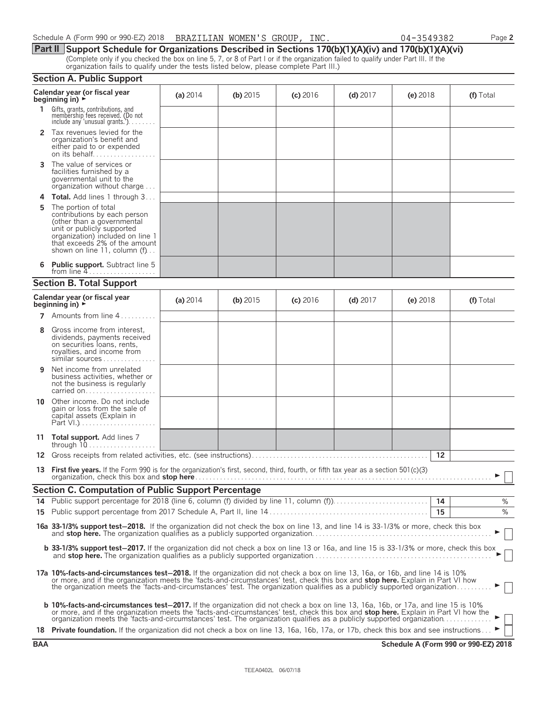| Schedule A (Form 990 or 990-EZ) 2018  BRAZILIAN WOMEN'S GROUP, INC |  |  |  |  |
|--------------------------------------------------------------------|--|--|--|--|
|--------------------------------------------------------------------|--|--|--|--|

**Part II Support Schedule for Organizations Described in Sections 170(b)(1)(A)(iv) and 170(b)(1)(A)(vi)** (Complete only if you checked the box on line 5, 7, or 8 of Part I or if the organization failed to qualify under Part III. If the organization fails to qualify under the tests listed below, please complete Part III.)

|    | <b>Section A. Public Support</b>                                                                                                                                                                                                                                                                                                                                                                                                                                                                                                                     |            |            |            |            |            |           |  |
|----|------------------------------------------------------------------------------------------------------------------------------------------------------------------------------------------------------------------------------------------------------------------------------------------------------------------------------------------------------------------------------------------------------------------------------------------------------------------------------------------------------------------------------------------------------|------------|------------|------------|------------|------------|-----------|--|
|    | Calendar year (or fiscal year<br>beginning in) $\rightarrow$                                                                                                                                                                                                                                                                                                                                                                                                                                                                                         | (a) $2014$ | (b) $2015$ | $(c)$ 2016 | $(d)$ 2017 | $(e)$ 2018 | (f) Total |  |
| 1. | Gifts, grants, contributions, and<br>membership fees received. (Do not<br>include any 'unusual grants.'). $\ldots$                                                                                                                                                                                                                                                                                                                                                                                                                                   |            |            |            |            |            |           |  |
|    | 2 Tax revenues levied for the<br>organization's benefit and<br>either paid to or expended<br>on its behalf                                                                                                                                                                                                                                                                                                                                                                                                                                           |            |            |            |            |            |           |  |
| 3  | The value of services or<br>facilities furnished by a<br>governmental unit to the<br>organization without charge                                                                                                                                                                                                                                                                                                                                                                                                                                     |            |            |            |            |            |           |  |
| 4  | Total. Add lines 1 through 3                                                                                                                                                                                                                                                                                                                                                                                                                                                                                                                         |            |            |            |            |            |           |  |
| 5  | The portion of total<br>contributions by each person<br>(other than a governmental<br>unit or publicly supported<br>organization) included on line 1<br>that exceeds 2% of the amount<br>shown on line 11, column (f)                                                                                                                                                                                                                                                                                                                                |            |            |            |            |            |           |  |
| 6  | <b>Public support.</b> Subtract line 5<br>from line $4$                                                                                                                                                                                                                                                                                                                                                                                                                                                                                              |            |            |            |            |            |           |  |
|    | <b>Section B. Total Support</b>                                                                                                                                                                                                                                                                                                                                                                                                                                                                                                                      |            |            |            |            |            |           |  |
|    | Calendar year (or fiscal year<br>beginning in) $\rightarrow$                                                                                                                                                                                                                                                                                                                                                                                                                                                                                         | (a) $2014$ | (b) $2015$ | $(c)$ 2016 | $(d)$ 2017 | (e) $2018$ | (f) Total |  |
|    | <b>7</b> Amounts from line $4, \ldots, \ldots$                                                                                                                                                                                                                                                                                                                                                                                                                                                                                                       |            |            |            |            |            |           |  |
| 8  | Gross income from interest,<br>dividends, payments received<br>on securities loans, rents,<br>royalties, and income from<br>similar sources                                                                                                                                                                                                                                                                                                                                                                                                          |            |            |            |            |            |           |  |
| 9  | Net income from unrelated<br>business activities, whether or<br>not the business is regularly<br>carried on                                                                                                                                                                                                                                                                                                                                                                                                                                          |            |            |            |            |            |           |  |
| 10 | Other income. Do not include<br>gain or loss from the sale of<br>capital assets (Explain in                                                                                                                                                                                                                                                                                                                                                                                                                                                          |            |            |            |            |            |           |  |
|    | 11 <b>Total support.</b> Add lines 7                                                                                                                                                                                                                                                                                                                                                                                                                                                                                                                 |            |            |            |            |            |           |  |
|    |                                                                                                                                                                                                                                                                                                                                                                                                                                                                                                                                                      |            |            |            |            | 12         |           |  |
|    | 13 First five years. If the Form 990 is for the organization's first, second, third, fourth, or fifth tax year as a section 501(c)(3)                                                                                                                                                                                                                                                                                                                                                                                                                |            |            |            |            |            |           |  |
|    | <b>Section C. Computation of Public Support Percentage</b>                                                                                                                                                                                                                                                                                                                                                                                                                                                                                           |            |            |            |            |            |           |  |
| 14 |                                                                                                                                                                                                                                                                                                                                                                                                                                                                                                                                                      |            |            |            |            |            | $\%$      |  |
| 15 |                                                                                                                                                                                                                                                                                                                                                                                                                                                                                                                                                      |            |            |            |            | 15         | $\%$      |  |
|    | 16a 33-1/3% support test-2018. If the organization did not check the box on line 13, and line 14 is 33-1/3% or more, check this box                                                                                                                                                                                                                                                                                                                                                                                                                  |            |            |            |            |            |           |  |
|    | <b>b 33-1/3% support test-2017.</b> If the organization did not check a box on line 13 or 16a, and line 15 is 33-1/3% or more, check this box                                                                                                                                                                                                                                                                                                                                                                                                        |            |            |            |            |            |           |  |
|    | 17a 10%-facts-and-circumstances test-2018. If the organization did not check a box on line 13, 16a, or 16b, and line 14 is 10%<br>or more, and if the organization meets the 'facts-and-circumstances' test, check this box and <b>stop here.</b> Explain in Part VI how the organization meets the 'facts-and-circumstances' test. The organization qualifies as a p                                                                                                                                                                                |            |            |            |            |            |           |  |
|    | <b>b 10%-facts-and-circumstances test-2017.</b> If the organization did not check a box on line 13, 16a, 16b, or 17a, and line 15 is 10%<br>or more, and if the organization meets the 'facts-and-circumstances' test, check this box and stop here. Explain in Part VI how the<br>organization meets the 'facts-and-circumstances' test. The organization qualifies as a publicly supported organization<br>18 Private foundation. If the organization did not check a box on line 13, 16a, 16b, 17a, or 17b, check this box and see instructions ► |            |            |            |            |            |           |  |
|    |                                                                                                                                                                                                                                                                                                                                                                                                                                                                                                                                                      |            |            |            |            |            |           |  |

| Schedule A (Form 990 or 990-EZ) 2018    BRAZILIAN WOMEN'S GROUP, I | INC. | 04-3549382 | Page 2 |
|--------------------------------------------------------------------|------|------------|--------|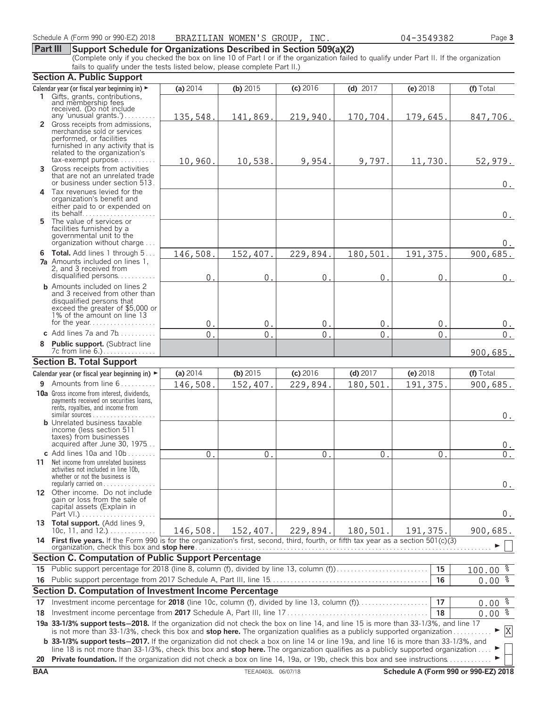#### **Part III Support Schedule for Organizations Described in Section 509(a)(2)**

(Complete only if you checked the box on line 10 of Part I or if the organization failed to qualify under Part II. If the organization fails to qualify under the tests listed below, please complete Part II.)

|            | <b>Section A. Public Support</b>                                                                                                                                                                                                                               |                |                    |                |                |                |                                      |
|------------|----------------------------------------------------------------------------------------------------------------------------------------------------------------------------------------------------------------------------------------------------------------|----------------|--------------------|----------------|----------------|----------------|--------------------------------------|
|            | Calendar year (or fiscal year beginning in) ►                                                                                                                                                                                                                  | (a) $2014$     | (b) $2015$         | (c) 2016       | (d) $2017$     | (e) 2018       | (f) Total                            |
|            | 1 Gifts, grants, contributions,                                                                                                                                                                                                                                |                |                    |                |                |                |                                      |
|            | and membership fees<br>received. (Do not include                                                                                                                                                                                                               |                |                    |                |                |                |                                      |
|            | any 'unusual grants.')                                                                                                                                                                                                                                         | 135,548.       | 141,869.           | 219,940.       | 170,704.       | 179,645.       | 847,706.                             |
|            | 2 Gross receipts from admissions,<br>merchandise sold or services                                                                                                                                                                                              |                |                    |                |                |                |                                      |
|            | performed, or facilities                                                                                                                                                                                                                                       |                |                    |                |                |                |                                      |
|            | furnished in any activity that is                                                                                                                                                                                                                              |                |                    |                |                |                |                                      |
|            | related to the organization's<br>tax-exempt purpose                                                                                                                                                                                                            | 10,960.        | 10,538.            | 9,954.         | 9,797.         | 11,730.        | 52,979.                              |
| 3          | Gross receipts from activities                                                                                                                                                                                                                                 |                |                    |                |                |                |                                      |
|            | that are not an unrelated trade                                                                                                                                                                                                                                |                |                    |                |                |                |                                      |
|            | or business under section 513.                                                                                                                                                                                                                                 |                |                    |                |                |                | $0$ .                                |
|            | 4 Tax revenues levied for the<br>organization's benefit and                                                                                                                                                                                                    |                |                    |                |                |                |                                      |
|            | either paid to or expended on                                                                                                                                                                                                                                  |                |                    |                |                |                |                                      |
|            | its behalf                                                                                                                                                                                                                                                     |                |                    |                |                |                | 0.                                   |
|            | 5 The value of services or<br>facilities furnished by a                                                                                                                                                                                                        |                |                    |                |                |                |                                      |
|            | governmental unit to the                                                                                                                                                                                                                                       |                |                    |                |                |                |                                      |
|            | organization without charge                                                                                                                                                                                                                                    |                |                    |                |                |                | 0.                                   |
|            | <b>6 Total.</b> Add lines 1 through 5                                                                                                                                                                                                                          | 146,508.       | 152,407            | 229,894        | 180,501        | 191,375        | 900,685.                             |
|            | 7a Amounts included on lines 1,<br>2, and 3 received from                                                                                                                                                                                                      |                |                    |                |                |                |                                      |
|            | disqualified persons                                                                                                                                                                                                                                           | 0              | 0                  | 0              | $\mathsf 0$    | 0              | $0$ .                                |
|            | <b>b</b> Amounts included on lines 2                                                                                                                                                                                                                           |                |                    |                |                |                |                                      |
|            | and 3 received from other than                                                                                                                                                                                                                                 |                |                    |                |                |                |                                      |
|            | disqualified persons that<br>exceed the greater of \$5,000 or                                                                                                                                                                                                  |                |                    |                |                |                |                                      |
|            | 1% of the amount on line 13                                                                                                                                                                                                                                    |                |                    |                |                |                |                                      |
|            | for the year                                                                                                                                                                                                                                                   | 0.             | 0.                 | 0.             | $0$ .          | 0.             | 0.                                   |
|            | c Add lines $7a$ and $7b$                                                                                                                                                                                                                                      | $\mathbf{0}$ . | $\mathbf{0}$       | $\Omega$       | $\overline{0}$ | $\overline{0}$ | $\overline{0}$ .                     |
| 8          | Public support. (Subtract line<br>7c from line 6.).                                                                                                                                                                                                            |                |                    |                |                |                | 900,685.                             |
|            | <b>Section B. Total Support</b>                                                                                                                                                                                                                                |                |                    |                |                |                |                                      |
|            | Calendar year (or fiscal year beginning in) ►                                                                                                                                                                                                                  | (a) $2014$     | (b) 2015           | (c) 2016       | (d) $2017$     | (e) 2018       | (f) Total                            |
|            | <b>9</b> Amounts from line $6$                                                                                                                                                                                                                                 | 146,508.       | 152,407.           | 229,894.       | 180,501        | 191, 375.      | 900,685.                             |
|            | 10a Gross income from interest, dividends,                                                                                                                                                                                                                     |                |                    |                |                |                |                                      |
|            | payments received on securities loans,                                                                                                                                                                                                                         |                |                    |                |                |                |                                      |
|            | rents, royalties, and income from                                                                                                                                                                                                                              |                |                    |                |                |                |                                      |
|            | <b>b</b> Unrelated business taxable                                                                                                                                                                                                                            |                |                    |                |                |                | 0.                                   |
|            | income (less section 511                                                                                                                                                                                                                                       |                |                    |                |                |                |                                      |
|            | taxes) from businesses<br>acquired after June 30, 1975                                                                                                                                                                                                         |                |                    |                |                |                |                                      |
|            | c Add lines $10a$ and $10b$                                                                                                                                                                                                                                    | $\Omega$ .     | 0 <sup>1</sup>     | 0 <sup>1</sup> | $\Omega$       | $\Omega$ .     | 0.<br>0.                             |
|            | 11 Net income from unrelated business                                                                                                                                                                                                                          |                |                    |                |                |                |                                      |
|            | activities not included in line 10b,                                                                                                                                                                                                                           |                |                    |                |                |                |                                      |
|            | whether or not the business is<br>regularly carried on $\dots\dots\dots\dots$                                                                                                                                                                                  |                |                    |                |                |                |                                      |
|            | 12 Other income. Do not include                                                                                                                                                                                                                                |                |                    |                |                |                | 0.                                   |
|            | gain or loss from the sale of                                                                                                                                                                                                                                  |                |                    |                |                |                |                                      |
|            | capital assets (Explain in                                                                                                                                                                                                                                     |                |                    |                |                |                | 0.                                   |
|            | 13 Total support. (Add lines 9,                                                                                                                                                                                                                                |                |                    |                |                |                |                                      |
|            | 10c, 11, and 12.) $\ldots$                                                                                                                                                                                                                                     | 146,508.       | 152,407.           | 229,894.       | 180,501.       | 191,375.       | 900,685.                             |
|            | 14 First five years. If the Form 990 is for the organization's first, second, third, fourth, or fifth tax year as a section 501(c)(3)<br>organization, check this box and stop here <b>Figure 2019</b> Construction of the construction of the construction of |                |                    |                |                |                |                                      |
|            | <b>Section C. Computation of Public Support Percentage</b>                                                                                                                                                                                                     |                |                    |                |                |                |                                      |
|            | 15 Public support percentage for 2018 (line 8, column (f), divided by line 13, column (f)                                                                                                                                                                      |                |                    |                |                | 15             | $100.00$ $%$                         |
|            |                                                                                                                                                                                                                                                                |                |                    |                |                | 16             | $0.00$ %                             |
|            | Section D. Computation of Investment Income Percentage                                                                                                                                                                                                         |                |                    |                |                |                |                                      |
| 17         | Investment income percentage for 2018 (line 10c, column (f), divided by line 13, column (f)                                                                                                                                                                    |                |                    |                |                | 17             | $0.00$ $%$                           |
| 18         |                                                                                                                                                                                                                                                                |                |                    |                |                | 18             | $0.00\frac{2}{3}$                    |
|            | 19a 33-1/3% support tests-2018. If the organization did not check the box on line 14, and line 15 is more than 33-1/3%, and line 17                                                                                                                            |                |                    |                |                |                |                                      |
|            | is not more than 33-1/3%, check this box and stop here. The organization qualifies as a publicly supported organization                                                                                                                                        |                |                    |                |                |                | X                                    |
|            | <b>b</b> 33-1/3% support tests-2017. If the organization did not check a box on line 14 or line 19a, and line 16 is more than 33-1/3%, and                                                                                                                     |                |                    |                |                |                |                                      |
|            | line 18 is not more than 33-1/3%, check this box and stop here. The organization qualifies as a publicly supported organization                                                                                                                                |                |                    |                |                |                |                                      |
| 20         | <b>Private foundation.</b> If the organization did not check a box on line 14, 19a, or 19b, check this box and see instructions                                                                                                                                |                |                    |                |                |                |                                      |
| <b>BAA</b> |                                                                                                                                                                                                                                                                |                | TEEA0403L 06/07/18 |                |                |                | Schedule A (Form 990 or 990-EZ) 2018 |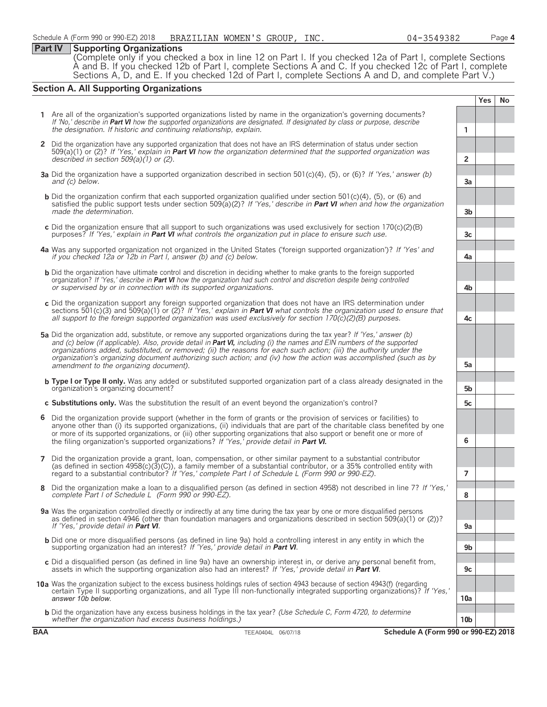#### **Part IV Supporting Organizations**

(Complete only if you checked a box in line 12 on Part I. If you checked 12a of Part I, complete Sections À and B. If you checked 12b of Part I, complete Sections A and C. If you checked 12c of Part I, complete Sections A, D, and E. If you checked 12d of Part I, complete Sections A and D, and complete Part V.)

#### **Section A. All Supporting Organizations**

**Yes No 1** Are all of the organization's supported organizations listed by name in the organization's governing documents? *If 'No,' describe in Part VI how the supported organizations are designated. If designated by class or purpose, describe the designation. If historic and continuing relationship, explain.* **1 2** Did the organization have any supported organization that does not have an IRS determination of status under section 509(a)(1) or (2)? *If 'Yes,' explain in Part VI how the organization determined that the supported organization was described in section 509(a)(1) or (2).* **2 3a** Did the organization have a supported organization described in section 501(c)(4), (5), or (6)? *If 'Yes,' answer (b) and (c) below.* **3a b** Did the organization confirm that each supported organization qualified under section 501(c)(4), (5), or (6) and satisfied the public support tests under section 509(a)(2)? *If 'Yes,' describe in Part VI when and how the organization made the determination.* **3b c** Did the organization ensure that all support to such organizations was used exclusively for section 170(c)(2)(B) purposes? *If 'Yes,' explain in Part VI what controls the organization put in place to ensure such use.* **3c 4a** Was any supported organization not organized in the United States ('foreign supported organization')? *If 'Yes' and if you checked 12a or 12b in Part I, answer (b) and (c) below.* **4a b** Did the organization have ultimate control and discretion in deciding whether to make grants to the foreign supported organization? *If 'Yes,' describe in Part VI how the organization had such control and discretion despite being controlled or supervised by or in connection with its supported organizations.* **4b c** Did the organization support any foreign supported organization that does not have an IRS determination under sections 501(c)(3) and 509(a)(1) or (2)? *If 'Yes,' explain in Part VI what controls the organization used to ensure that all support to the foreign supported organization was used exclusively for section 170(c)(2)(B) purposes.* **4c 5a** Did the organization add, substitute, or remove any supported organizations during the tax year? *If 'Yes,' answer (b) and (c) below (if applicable). Also, provide detail in Part VI, including (i) the names and EIN numbers of the supported organizations added, substituted, or removed; (ii) the reasons for each such action; (iii) the authority under the organization's organizing document authorizing such action; and (iv) how the action was accomplished (such as by amendment to the organizing document).* **5a b Type I or Type II only.** Was any added or substituted supported organization part of a class already designated in the organization's organizing document? **5b c Substitutions only.** Was the substitution the result of an event beyond the organization's control? **5c 6** Did the organization provide support (whether in the form of grants or the provision of services or facilities) to anyone other than (i) its supported organizations, (ii) individuals that are part of the charitable class benefited by one or more of its supported organizations, or (iii) other supporting organizations that also support or benefit one or more of the filing organization's supported organizations? *If 'Yes,' provide detail in Part VI.* **6 7** Did the organization provide a grant, loan, compensation, or other similar payment to a substantial contributor (as defined in section 4958(c)(3)(C)), a family member of a substantial contributor, or a 35% controlled entity with regard to a substantial contributor? *If 'Yes,' complete Part I of Schedule L (Form 990 or 990-EZ).* **7 8** Did the organization make a loan to a disqualified person (as defined in section 4958) not described in line 7? *If 'Yes,' complete Part I of Schedule L (Form 990 or 990-EZ).* **8 9a** Was the organization controlled directly or indirectly at any time during the tax year by one or more disqualified persons as defined in section 4946 (other than foundation managers and organizations described in section 509(a)(1) or (2))? *If 'Yes,' provide detail in Part VI*. **b** Did one or more disqualified persons (as defined in line 9a) hold a controlling interest in any entity in which the supporting organization had an interest? *If 'Yes,' provide detail in Part VI*. **9b c** Did a disqualified person (as defined in line 9a) have an ownership interest in, or derive any personal benefit from, assets in which the supporting organization also had an interest? *If 'Yes,' provide detail in Part VI*. **9c 10a** Was the organization subject to the excess business holdings rules of section 4943 because of section 4943(f) (regarding certain Type II supporting organizations, and all Type III non-functionally integrated supporting organizations)? *If 'Yes,' answer 10b below.* **10a b** Did the organization have any excess business holdings in the tax year? *(Use Schedule C, Form 4720, to determine whether the organization had excess business holdings.)* **10b**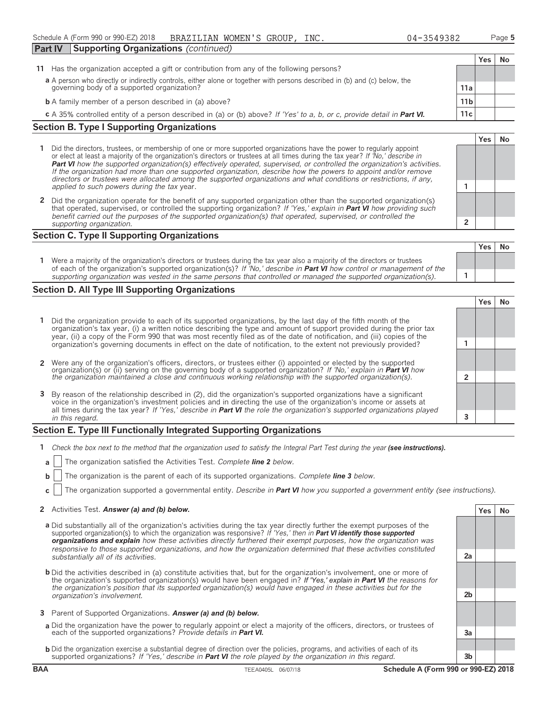| Part IV                                                                                                                   | <b>Supporting Organizations (continued)</b>                                                                             |                 |     |      |
|---------------------------------------------------------------------------------------------------------------------------|-------------------------------------------------------------------------------------------------------------------------|-----------------|-----|------|
|                                                                                                                           |                                                                                                                         |                 | Yes | . No |
|                                                                                                                           | 11 Has the organization accepted a gift or contribution from any of the following persons?                              |                 |     |      |
| a A person who directly or indirectly controls, either alone or together with persons described in (b) and (c) below, the |                                                                                                                         |                 |     |      |
|                                                                                                                           | governing body of a supported organization?                                                                             | 11a             |     |      |
|                                                                                                                           | <b>b</b> A family member of a person described in (a) above?                                                            | 11 <sub>b</sub> |     |      |
|                                                                                                                           | c A 35% controlled entity of a person described in (a) or (b) above? If 'Yes' to a, b, or c, provide detail in Part VI. | 11c             |     |      |

#### **Section B. Type I Supporting Organizations**

- **1** Did the directors, trustees, or membership of one or more supported organizations have the power to regularly appoint or elect at least a majority of the organization's directors or trustees at all times during the tax year? *If 'No,' describe in Part VI how the supported organization(s) effectively operated, supervised, or controlled the organization's activities. If the organization had more than one supported organization, describe how the powers to appoint and/or remove directors or trustees were allocated among the supported organizations and what conditions or restrictions, if any, applied to such powers during the tax* year. **1**
- **2** Did the organization operate for the benefit of any supported organization other than the supported organization(s) that operated, supervised, or controlled the supporting organization? *If 'Yes,' explain in Part VI how providing such benefit carried out the purposes of the supported organization(s) that operated, supervised, or controlled the supporting organization.* **2**

#### **Section C. Type II Supporting Organizations**

| Were a majority of the organization's directors or trustees during the tax year also a majority of the directors or trustees<br>of each of the organization's supported organization(s)? If 'No,' describe in <b>Part VI</b> how control or management of the |  |  |
|---------------------------------------------------------------------------------------------------------------------------------------------------------------------------------------------------------------------------------------------------------------|--|--|
| supporting organization was vested in the same persons that controlled or managed the supported organization(s).                                                                                                                                              |  |  |

#### **Section D. All Type III Supporting Organizations**

|                                                                                                                                                                                                                                                                                                                                                                     |   | es) |  |
|---------------------------------------------------------------------------------------------------------------------------------------------------------------------------------------------------------------------------------------------------------------------------------------------------------------------------------------------------------------------|---|-----|--|
| 1 Did the organization provide to each of its supported organizations, by the last day of the fifth month of the<br>organization's tax year, (i) a written notice describing the type and amount of support provided during the prior tax<br>year, (ii) a copy of the Form 990 that was most recently filed as of the date of notification, and (iii) copies of the |   |     |  |
| organization's governing documents in effect on the date of notification, to the extent not previously provided?                                                                                                                                                                                                                                                    |   |     |  |
|                                                                                                                                                                                                                                                                                                                                                                     |   |     |  |
| 2 Were any of the organization's officers, directors, or trustees either (i) appointed or elected by the supported organization(s) or (ii) serving on the governing body of a supported organization? If 'No,' explain in Part                                                                                                                                      |   |     |  |
|                                                                                                                                                                                                                                                                                                                                                                     |   |     |  |
|                                                                                                                                                                                                                                                                                                                                                                     |   |     |  |
| 3 By reason of the relationship described in (2), did the organization's supported organizations have a significant<br>voice in the organization's investment policies and in directing the use of the organization's income or assets at                                                                                                                           |   |     |  |
| all times during the tax year? If 'Yes,' describe in <b>Part VI</b> the role the organization's supported organizations played                                                                                                                                                                                                                                      |   |     |  |
| in this regard.                                                                                                                                                                                                                                                                                                                                                     | 3 |     |  |

#### **Section E. Type III Functionally Integrated Supporting Organizations**

- **1** *Check the box next to the method that the organization used to satisfy the Integral Part Test during the year (see instructions).* 
	- **a** The organization satisfied the Activities Test. *Complete line 2 below.*
	- **b** The organization is the parent of each of its supported organizations. *Complete line 3 below.*
	- **c** The organization supported a governmental entity. *Describe in Part VI how you supported a government entity (see instructions).*

#### **2** Activities Test. **Answer (a) and (b) below. Yes No**

- **a** Did substantially all of the organization's activities during the tax year directly further the exempt purposes of the supported organization(s) to which the organization was responsive? *If 'Yes,' then in Part VI identify those supported organizations and explain how these activities directly furthered their exempt purposes, how the organization was responsive to those supported organizations, and how the organization determined that these activities constituted substantially all of its activities.* **2a**
- **b** Did the activities described in (a) constitute activities that, but for the organization's involvement, one or more of the organization's supported organization(s) would have been engaged in? *If 'Yes,' explain in Part VI the reasons for the organization's position that its supported organization(s) would have engaged in these activities but for the organization's involvement.* **2b**
- **3** Parent of Supported Organizations. *Answer (a) and (b) below.*
- **a** Did the organization have the power to regularly appoint or elect a majority of the officers, directors, or trustees of each of the supported organizations? *Provide details in Part VI.* **3a**
- **b** Did the organization exercise a substantial degree of direction over the policies, programs, and activities of each of its supported organizations? *If 'Yes,' describe in Part VI the role played by the organization in this regard.* **3b**

**Yes No**

**Yes No**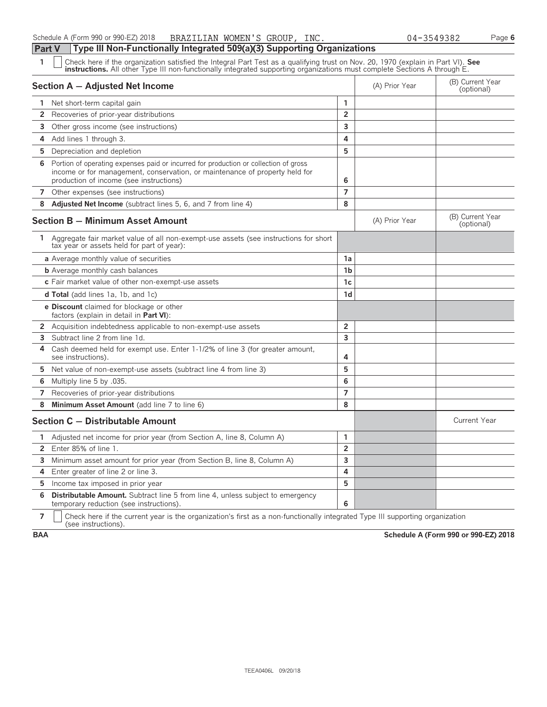| 1                     | Check here if the organization satisfied the Integral Part Test as a qualifying trust on Nov. 20, 1970 (explain in Part VI). See<br><b>instructions.</b> All other Type III non-functionally integrated supporting organizations must complete Sections A through E. |                |                                |                                |
|-----------------------|----------------------------------------------------------------------------------------------------------------------------------------------------------------------------------------------------------------------------------------------------------------------|----------------|--------------------------------|--------------------------------|
|                       | Section A - Adjusted Net Income                                                                                                                                                                                                                                      | (A) Prior Year | (B) Current Year<br>(optional) |                                |
|                       | 1 Net short-term capital gain                                                                                                                                                                                                                                        | 1              |                                |                                |
| $\mathbf{2}$          | Recoveries of prior-year distributions                                                                                                                                                                                                                               | $\overline{2}$ |                                |                                |
| 3                     | Other gross income (see instructions)                                                                                                                                                                                                                                | 3              |                                |                                |
| 4                     | Add lines 1 through 3.                                                                                                                                                                                                                                               | 4              |                                |                                |
| 5                     | Depreciation and depletion                                                                                                                                                                                                                                           | 5              |                                |                                |
| 6                     | Portion of operating expenses paid or incurred for production or collection of gross<br>income or for management, conservation, or maintenance of property held for<br>production of income (see instructions)                                                       | 6              |                                |                                |
| 7                     | Other expenses (see instructions)                                                                                                                                                                                                                                    | $\overline{7}$ |                                |                                |
| 8                     | <b>Adjusted Net Income</b> (subtract lines 5, 6, and 7 from line 4)                                                                                                                                                                                                  | 8              |                                |                                |
|                       | <b>Section B - Minimum Asset Amount</b>                                                                                                                                                                                                                              |                | (A) Prior Year                 | (B) Current Year<br>(optional) |
|                       | 1 Aggregate fair market value of all non-exempt-use assets (see instructions for short<br>tax year or assets held for part of year):                                                                                                                                 |                |                                |                                |
|                       | a Average monthly value of securities                                                                                                                                                                                                                                | 1a             |                                |                                |
|                       | <b>b</b> Average monthly cash balances                                                                                                                                                                                                                               | 1 <sub>b</sub> |                                |                                |
|                       | c Fair market value of other non-exempt-use assets                                                                                                                                                                                                                   | 1c             |                                |                                |
|                       | <b>d Total</b> (add lines 1a, 1b, and 1c)                                                                                                                                                                                                                            | 1d             |                                |                                |
|                       | e Discount claimed for blockage or other<br>factors (explain in detail in Part VI):                                                                                                                                                                                  |                |                                |                                |
|                       | 2 Acquisition indebtedness applicable to non-exempt-use assets                                                                                                                                                                                                       | $\overline{2}$ |                                |                                |
| 3                     | Subtract line 2 from line 1d.                                                                                                                                                                                                                                        | 3              |                                |                                |
| 4                     | Cash deemed held for exempt use. Enter 1-1/2% of line 3 (for greater amount,<br>see instructions).                                                                                                                                                                   | 4              |                                |                                |
| 5                     | Net value of non-exempt-use assets (subtract line 4 from line 3)                                                                                                                                                                                                     | 5              |                                |                                |
| 6                     | Multiply line 5 by .035.                                                                                                                                                                                                                                             | 6              |                                |                                |
| 7                     | Recoveries of prior-year distributions                                                                                                                                                                                                                               | $\overline{7}$ |                                |                                |
| 8                     | Minimum Asset Amount (add line 7 to line 6)                                                                                                                                                                                                                          | 8              |                                |                                |
|                       | Section C - Distributable Amount                                                                                                                                                                                                                                     |                |                                | <b>Current Year</b>            |
| 1.                    | Adjusted net income for prior year (from Section A, line 8, Column A)                                                                                                                                                                                                | $\mathbf{1}$   |                                |                                |
| $\mathbf{2}^{\prime}$ | Enter 85% of line 1.                                                                                                                                                                                                                                                 | $\overline{2}$ |                                |                                |
| 3                     | Minimum asset amount for prior year (from Section B, line 8, Column A)                                                                                                                                                                                               | 3              |                                |                                |
| 4                     | Enter greater of line 2 or line 3.                                                                                                                                                                                                                                   | 4              |                                |                                |
| 5                     | Income tax imposed in prior year                                                                                                                                                                                                                                     | 5              |                                |                                |
| 6                     | <b>Distributable Amount.</b> Subtract line 5 from line 4, unless subject to emergency<br>temporary reduction (see instructions).                                                                                                                                     | 6              |                                |                                |

**7**  $\Box$  Check here if the current year is the organization's first as a non-functionally integrated Type III supporting organization (see instructions).

**BAA Schedule A (Form 990 or 990-EZ) 2018**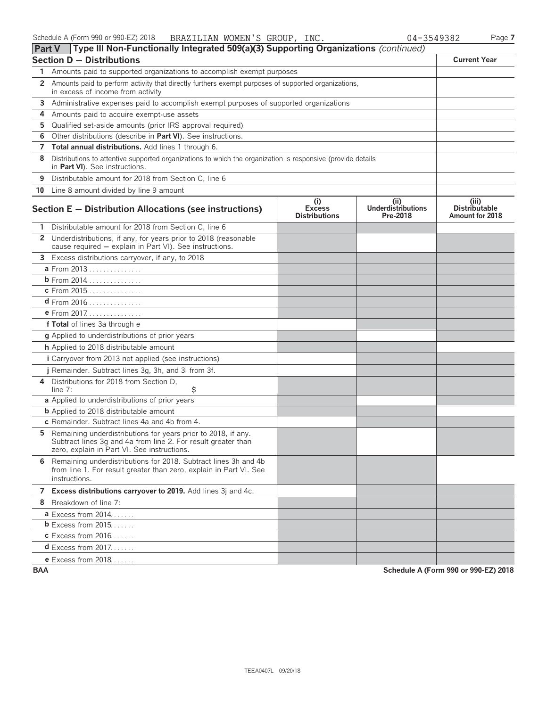| Part V       | Type III Non-Functionally Integrated 509(a)(3) Supporting Organizations (continued)                                                                                           |                                              |                                               |                                                  |
|--------------|-------------------------------------------------------------------------------------------------------------------------------------------------------------------------------|----------------------------------------------|-----------------------------------------------|--------------------------------------------------|
|              | <b>Section D - Distributions</b>                                                                                                                                              |                                              |                                               | <b>Current Year</b>                              |
|              | Amounts paid to supported organizations to accomplish exempt purposes                                                                                                         |                                              |                                               |                                                  |
| 2            | Amounts paid to perform activity that directly furthers exempt purposes of supported organizations,<br>in excess of income from activity                                      |                                              |                                               |                                                  |
|              | 3 Administrative expenses paid to accomplish exempt purposes of supported organizations                                                                                       |                                              |                                               |                                                  |
| 4            | Amounts paid to acquire exempt-use assets                                                                                                                                     |                                              |                                               |                                                  |
| 5            | Qualified set-aside amounts (prior IRS approval required)                                                                                                                     |                                              |                                               |                                                  |
| 6            | Other distributions (describe in Part VI). See instructions.                                                                                                                  |                                              |                                               |                                                  |
|              | 7 Total annual distributions. Add lines 1 through 6.                                                                                                                          |                                              |                                               |                                                  |
| 8            | Distributions to attentive supported organizations to which the organization is responsive (provide details<br>in Part VI). See instructions.                                 |                                              |                                               |                                                  |
| 9            | Distributable amount for 2018 from Section C, line 6                                                                                                                          |                                              |                                               |                                                  |
|              | 10 Line 8 amount divided by line 9 amount                                                                                                                                     |                                              |                                               |                                                  |
|              | Section E - Distribution Allocations (see instructions)                                                                                                                       | (i)<br><b>Excess</b><br><b>Distributions</b> | (ii)<br><b>Underdistributions</b><br>Pre-2018 | (iii)<br><b>Distributable</b><br>Amount for 2018 |
|              | Distributable amount for 2018 from Section C, line 6                                                                                                                          |                                              |                                               |                                                  |
| $\mathbf{2}$ | Underdistributions, if any, for years prior to 2018 (reasonable<br>cause required - explain in Part VI). See instructions.                                                    |                                              |                                               |                                                  |
| 3            | Excess distributions carryover, if any, to 2018                                                                                                                               |                                              |                                               |                                                  |
|              | a From 2013                                                                                                                                                                   |                                              |                                               |                                                  |
|              | <b>b</b> From $2014$                                                                                                                                                          |                                              |                                               |                                                  |
|              | c From 2015                                                                                                                                                                   |                                              |                                               |                                                  |
|              | $d$ From 2016                                                                                                                                                                 |                                              |                                               |                                                  |
|              | e From 2017                                                                                                                                                                   |                                              |                                               |                                                  |
|              | f Total of lines 3a through e                                                                                                                                                 |                                              |                                               |                                                  |
|              | <b>q</b> Applied to underdistributions of prior years                                                                                                                         |                                              |                                               |                                                  |
|              | h Applied to 2018 distributable amount                                                                                                                                        |                                              |                                               |                                                  |
|              | i Carryover from 2013 not applied (see instructions)                                                                                                                          |                                              |                                               |                                                  |
|              | j Remainder. Subtract lines 3g, 3h, and 3i from 3f.                                                                                                                           |                                              |                                               |                                                  |
| 4            | Distributions for 2018 from Section D,<br>\$<br>line $7:$                                                                                                                     |                                              |                                               |                                                  |
|              | a Applied to underdistributions of prior years                                                                                                                                |                                              |                                               |                                                  |
|              | <b>b</b> Applied to 2018 distributable amount                                                                                                                                 |                                              |                                               |                                                  |
|              | c Remainder. Subtract lines 4a and 4b from 4.                                                                                                                                 |                                              |                                               |                                                  |
| 5            | Remaining underdistributions for years prior to 2018, if any.<br>Subtract lines 3g and 4a from line 2. For result greater than<br>zero, explain in Part VI. See instructions. |                                              |                                               |                                                  |
| 6            | Remaining underdistributions for 2018. Subtract lines 3h and 4b<br>from line 1. For result greater than zero, explain in Part VI. See<br>instructions.                        |                                              |                                               |                                                  |
|              | 7 Excess distributions carryover to 2019. Add lines 3j and 4c.                                                                                                                |                                              |                                               |                                                  |
|              | 8 Breakdown of line 7:                                                                                                                                                        |                                              |                                               |                                                  |
|              | <b>a</b> Excess from 2014                                                                                                                                                     |                                              |                                               |                                                  |
|              | $b$ Excess from 2015                                                                                                                                                          |                                              |                                               |                                                  |
|              | <b>c</b> Excess from 2016                                                                                                                                                     |                                              |                                               |                                                  |
|              | $d$ Excess from 2017.                                                                                                                                                         |                                              |                                               |                                                  |
|              | e Excess from 2018                                                                                                                                                            |                                              |                                               |                                                  |

**BAA Schedule A (Form 990 or 990-EZ) 2018**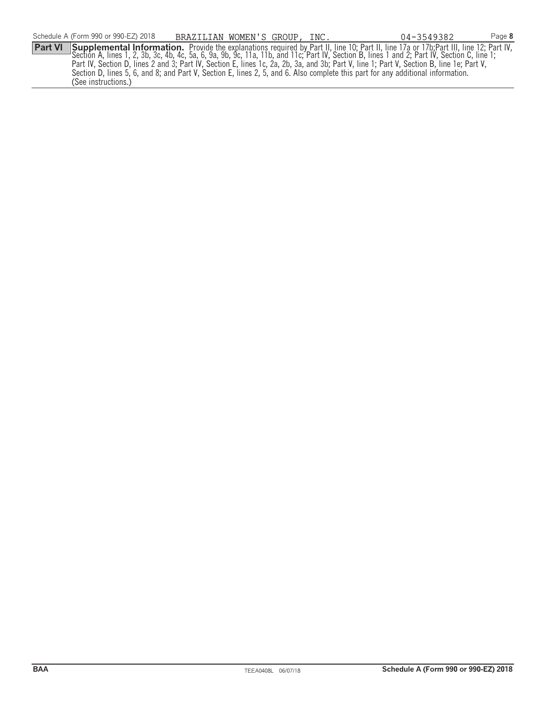(See instructions.)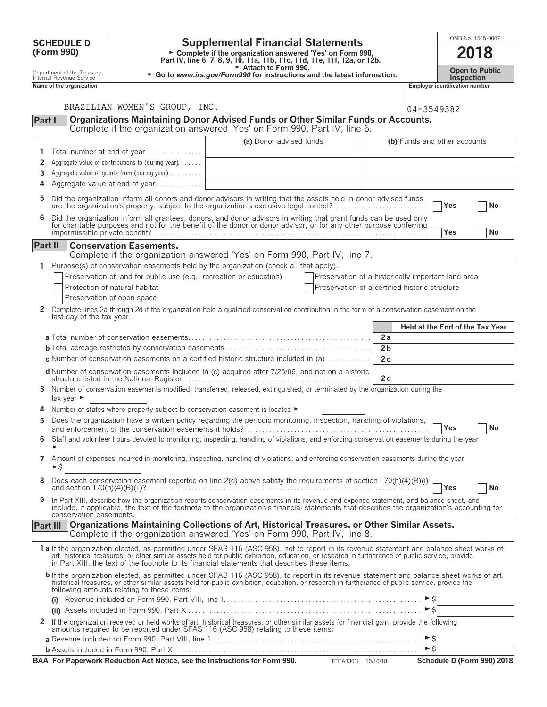| <b>Supplemental Financial Statements</b><br><b>SCHEDULE D</b>                                                                                                                                                                                                                                                     |                                                                                                                                                                                                                                |                         |                                                    |                | OMB No. 1545-0047                     |                                            |      |    |
|-------------------------------------------------------------------------------------------------------------------------------------------------------------------------------------------------------------------------------------------------------------------------------------------------------------------|--------------------------------------------------------------------------------------------------------------------------------------------------------------------------------------------------------------------------------|-------------------------|----------------------------------------------------|----------------|---------------------------------------|--------------------------------------------|------|----|
| (Form 990)<br>► Complete if the organization answered 'Yes' on Form 990,<br>Part IV, line 6, 7, 8, 9, 10, 11a, 11b, 11c, 11d, 11e, 11f, 12a, or 12b.<br>Attach to Form 990.<br>Department of the Treasury<br>► Go to www.irs.gov/Form990 for instructions and the latest information.<br>Internal Revenue Service |                                                                                                                                                                                                                                |                         |                                                    |                |                                       |                                            | 2018 |    |
|                                                                                                                                                                                                                                                                                                                   |                                                                                                                                                                                                                                |                         |                                                    |                |                                       | <b>Open to Public</b><br><b>Inspection</b> |      |    |
| Name of the organization                                                                                                                                                                                                                                                                                          |                                                                                                                                                                                                                                |                         |                                                    |                | <b>Employer identification number</b> |                                            |      |    |
|                                                                                                                                                                                                                                                                                                                   | BRAZILIAN WOMEN'S GROUP, INC.                                                                                                                                                                                                  |                         |                                                    |                |                                       |                                            |      |    |
|                                                                                                                                                                                                                                                                                                                   |                                                                                                                                                                                                                                |                         |                                                    |                | 04-3549382                            |                                            |      |    |
| Part I                                                                                                                                                                                                                                                                                                            | Organizations Maintaining Donor Advised Funds or Other Similar Funds or Accounts.<br>Complete if the organization answered 'Yes' on Form 990, Part IV, line 6.                                                                 |                         |                                                    |                |                                       |                                            |      |    |
|                                                                                                                                                                                                                                                                                                                   |                                                                                                                                                                                                                                | (a) Donor advised funds |                                                    |                | (b) Funds and other accounts          |                                            |      |    |
| 1                                                                                                                                                                                                                                                                                                                 | Total number at end of year                                                                                                                                                                                                    |                         |                                                    |                |                                       |                                            |      |    |
| 2                                                                                                                                                                                                                                                                                                                 | Aggregate value of contributions to (during year)                                                                                                                                                                              |                         |                                                    |                |                                       |                                            |      |    |
| 3.                                                                                                                                                                                                                                                                                                                | Aggregate value of grants from (during year)                                                                                                                                                                                   |                         |                                                    |                |                                       |                                            |      |    |
| 4                                                                                                                                                                                                                                                                                                                 | Aggregate value at end of year                                                                                                                                                                                                 |                         |                                                    |                |                                       |                                            |      |    |
|                                                                                                                                                                                                                                                                                                                   |                                                                                                                                                                                                                                |                         |                                                    |                |                                       |                                            |      |    |
| 5.                                                                                                                                                                                                                                                                                                                | Did the organization inform all donors and donor advisors in writing that the assets held in donor advised funds<br>are the organization's property, subject to the organization's exclusive legal control?                    |                         |                                                    |                |                                       | Yes                                        |      | No |
| 6                                                                                                                                                                                                                                                                                                                 |                                                                                                                                                                                                                                |                         |                                                    |                |                                       |                                            |      |    |
|                                                                                                                                                                                                                                                                                                                   | Did the organization inform all grantees, donors, and donor advisors in writing that grant funds can be used only for charitable purposes and not for the benefit of the donor or donor advisor, or for any other purpose conf |                         |                                                    |                |                                       | Yes                                        |      | No |
|                                                                                                                                                                                                                                                                                                                   |                                                                                                                                                                                                                                |                         |                                                    |                |                                       |                                            |      |    |
| Part II                                                                                                                                                                                                                                                                                                           | <b>Conservation Easements.</b><br>Complete if the organization answered 'Yes' on Form 990, Part IV, line 7.                                                                                                                    |                         |                                                    |                |                                       |                                            |      |    |
| 1                                                                                                                                                                                                                                                                                                                 | Purpose(s) of conservation easements held by the organization (check all that apply).                                                                                                                                          |                         |                                                    |                |                                       |                                            |      |    |
|                                                                                                                                                                                                                                                                                                                   | Preservation of land for public use (e.g., recreation or education)                                                                                                                                                            |                         | Preservation of a historically important land area |                |                                       |                                            |      |    |
|                                                                                                                                                                                                                                                                                                                   | Protection of natural habitat                                                                                                                                                                                                  |                         | Preservation of a certified historic structure     |                |                                       |                                            |      |    |
|                                                                                                                                                                                                                                                                                                                   | Preservation of open space                                                                                                                                                                                                     |                         |                                                    |                |                                       |                                            |      |    |
|                                                                                                                                                                                                                                                                                                                   | 2 Complete lines 2a through 2d if the organization held a qualified conservation contribution in the form of a conservation easement on the                                                                                    |                         |                                                    |                |                                       |                                            |      |    |
| last day of the tax year.                                                                                                                                                                                                                                                                                         |                                                                                                                                                                                                                                |                         |                                                    |                |                                       |                                            |      |    |
|                                                                                                                                                                                                                                                                                                                   |                                                                                                                                                                                                                                |                         |                                                    |                | Held at the End of the Tax Year       |                                            |      |    |
|                                                                                                                                                                                                                                                                                                                   |                                                                                                                                                                                                                                |                         |                                                    | 2a             |                                       |                                            |      |    |
|                                                                                                                                                                                                                                                                                                                   |                                                                                                                                                                                                                                |                         |                                                    | 2 <sub>b</sub> |                                       |                                            |      |    |
|                                                                                                                                                                                                                                                                                                                   | <b>c</b> Number of conservation easements on a certified historic structure included in (a)                                                                                                                                    |                         |                                                    | 2c             |                                       |                                            |      |    |
|                                                                                                                                                                                                                                                                                                                   | <b>d</b> Number of conservation easements included in (c) acquired after 7/25/06, and not on a historic                                                                                                                        |                         |                                                    | 2d             |                                       |                                            |      |    |
|                                                                                                                                                                                                                                                                                                                   | 3 Number of conservation easements modified, transferred, released, extinguished, or terminated by the organization during the                                                                                                 |                         |                                                    |                |                                       |                                            |      |    |
| tax year $\blacktriangleright$                                                                                                                                                                                                                                                                                    |                                                                                                                                                                                                                                |                         |                                                    |                |                                       |                                            |      |    |
|                                                                                                                                                                                                                                                                                                                   | 4 Number of states where property subject to conservation easement is located $\blacktriangleright$                                                                                                                            |                         |                                                    |                |                                       |                                            |      |    |
|                                                                                                                                                                                                                                                                                                                   | Does the organization have a written policy regarding the periodic monitoring, inspection, handling of violations,                                                                                                             |                         |                                                    |                |                                       | Yes                                        |      | No |
| 6                                                                                                                                                                                                                                                                                                                 | Staff and volunteer hours devoted to monitoring, inspecting, handling of violations, and enforcing conservation easements during the year                                                                                      |                         |                                                    |                |                                       |                                            |      |    |
|                                                                                                                                                                                                                                                                                                                   |                                                                                                                                                                                                                                |                         |                                                    |                |                                       |                                            |      |    |
| ►\$                                                                                                                                                                                                                                                                                                               | 7 Amount of expenses incurred in monitoring, inspecting, handling of violations, and enforcing conservation easements during the year                                                                                          |                         |                                                    |                |                                       |                                            |      |    |
| 8                                                                                                                                                                                                                                                                                                                 | Does each conservation easement reported on line 2(d) above satisfy the requirements of section 170(h)(4)(B)(i)                                                                                                                |                         |                                                    |                |                                       | Yes                                        |      | No |
|                                                                                                                                                                                                                                                                                                                   | 9 In Part XIII describe how the organization reports conservation easements in its revenue and expense statement, and balance sheet, and                                                                                       |                         |                                                    |                |                                       |                                            |      |    |

| 9 In Part XIII, describe how the organization reports conservation easements in its revenue and expense statement, and balance sheet, and    |
|----------------------------------------------------------------------------------------------------------------------------------------------|
| include, if applicable, the text of the footnote to the organization's financial statements that describes the organization's accounting for |
| conservation easements.                                                                                                                      |

#### **Part III Organizations Maintaining Collections of Art, Historical Treasures, or Other Similar Assets.** Complete if the organization answered 'Yes' on Form 990, Part IV, line 8.

| 1 a If the organization elected, as permitted under SFAS 116 (ASC 958), not to report in its revenue statement and balance sheet works of art, historical treasures, or other similar assets held for public exhibition, educa<br>in Part XIII, the text of the footnote to its financial statements that describes these items. |                            |
|----------------------------------------------------------------------------------------------------------------------------------------------------------------------------------------------------------------------------------------------------------------------------------------------------------------------------------|----------------------------|
| <b>b</b> If the organization elected, as permitted under SFAS 116 (ASC 958), to report in its revenue statement and balance sheet works of art, historical treasures, or other similar assets held for public exhibition, education<br>following amounts relating to these items:                                                |                            |
|                                                                                                                                                                                                                                                                                                                                  |                            |
| If the organization received or held works of art, historical treasures, or other similar assets for financial gain, provide the following<br>amounts required to be reported under SFAS 116 (ASC 958) relating to these items:                                                                                                  |                            |
|                                                                                                                                                                                                                                                                                                                                  |                            |
|                                                                                                                                                                                                                                                                                                                                  | $\triangleright$ S         |
| BAA For Paperwork Reduction Act Notice, see the Instructions for Form 990.<br>TEEA3301L<br>10/10/18                                                                                                                                                                                                                              | Schedule D (Form 990) 2018 |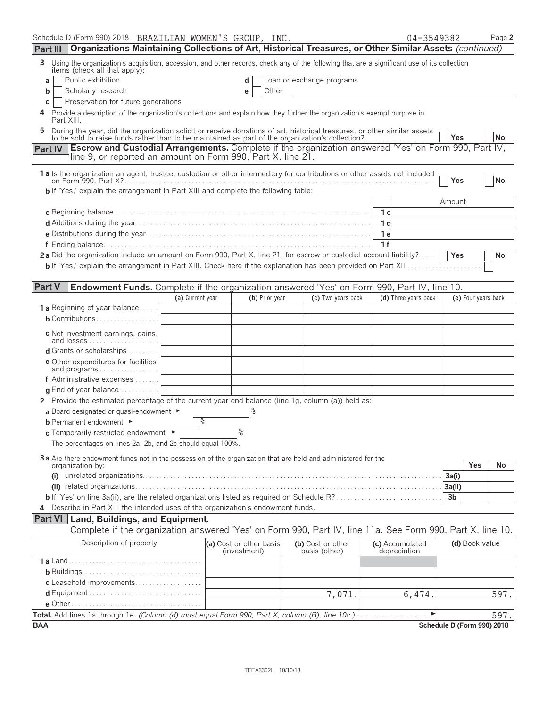| Schedule D (Form 990) 2018 BRAZILIAN WOMEN'S GROUP, INC.                                                                                                                                                                                     |                  |                                         |                |                                    | 04-3549382                      | Page 2                     |
|----------------------------------------------------------------------------------------------------------------------------------------------------------------------------------------------------------------------------------------------|------------------|-----------------------------------------|----------------|------------------------------------|---------------------------------|----------------------------|
| Organizations Maintaining Collections of Art, Historical Treasures, or Other Similar Assets (continued)<br>Part III                                                                                                                          |                  |                                         |                |                                    |                                 |                            |
| Using the organization's acquisition, accession, and other records, check any of the following that are a significant use of its collection<br>3<br>items (check all that apply):                                                            |                  |                                         |                |                                    |                                 |                            |
| Public exhibition<br>a                                                                                                                                                                                                                       |                  | d                                       |                | Loan or exchange programs          |                                 |                            |
| Scholarly research<br>b                                                                                                                                                                                                                      |                  | е                                       | Other          |                                    |                                 |                            |
| Preservation for future generations<br>c<br>Provide a description of the organization's collections and explain how they further the organization's exempt purpose in                                                                        |                  |                                         |                |                                    |                                 |                            |
| Part XIII.<br>During the year, did the organization solicit or receive donations of art, historical treasures, or other similar assets to be sold to raise funds rather than to be maintained as part of the organization's collection?<br>5 |                  |                                         |                |                                    |                                 |                            |
|                                                                                                                                                                                                                                              |                  |                                         |                |                                    |                                 | Yes<br>No                  |
| Part IV Escrow and Custodial Arrangements. Complete if the organization answered 'Yes' on Form 990, Part IV,<br>line 9, or reported an amount on Form 990, Part X, line 21.                                                                  |                  |                                         |                |                                    |                                 |                            |
| 1a Is the organization an agent, trustee, custodian or other intermediary for contributions or other assets not included                                                                                                                     |                  |                                         |                |                                    |                                 | No<br>Yes                  |
| <b>b</b> If 'Yes,' explain the arrangement in Part XIII and complete the following table:                                                                                                                                                    |                  |                                         |                |                                    |                                 |                            |
|                                                                                                                                                                                                                                              |                  |                                         |                |                                    |                                 | Amount                     |
|                                                                                                                                                                                                                                              |                  |                                         |                |                                    | 1c                              |                            |
|                                                                                                                                                                                                                                              |                  |                                         |                |                                    | 1 d                             |                            |
|                                                                                                                                                                                                                                              |                  |                                         |                |                                    | 1 e<br>1f                       |                            |
| 2a Did the organization include an amount on Form 990, Part X, line 21, for escrow or custodial account liability?                                                                                                                           |                  |                                         |                |                                    |                                 | Yes<br>No                  |
|                                                                                                                                                                                                                                              |                  |                                         |                |                                    |                                 |                            |
|                                                                                                                                                                                                                                              |                  |                                         |                |                                    |                                 |                            |
| <b>Part V</b><br>Endowment Funds. Complete if the organization answered 'Yes' on Form 990, Part IV, line 10.                                                                                                                                 |                  |                                         |                |                                    |                                 |                            |
|                                                                                                                                                                                                                                              | (a) Current year |                                         | (b) Prior year | (c) Two years back                 | (d) Three years back            | (e) Four years back        |
| 1 a Beginning of year balance                                                                                                                                                                                                                |                  |                                         |                |                                    |                                 |                            |
| <b>b</b> Contributions                                                                                                                                                                                                                       |                  |                                         |                |                                    |                                 |                            |
| c Net investment earnings, gains,<br>and losses                                                                                                                                                                                              |                  |                                         |                |                                    |                                 |                            |
| d Grants or scholarships                                                                                                                                                                                                                     |                  |                                         |                |                                    |                                 |                            |
| <b>e</b> Other expenditures for facilities<br>and programs                                                                                                                                                                                   |                  |                                         |                |                                    |                                 |                            |
| f Administrative expenses                                                                                                                                                                                                                    |                  |                                         |                |                                    |                                 |                            |
| g End of year balance                                                                                                                                                                                                                        |                  |                                         |                |                                    |                                 |                            |
| 2 Provide the estimated percentage of the current year end balance (line 1g, column (a)) held as:                                                                                                                                            |                  |                                         |                |                                    |                                 |                            |
| a Board designated or quasi-endowment $\blacktriangleright$                                                                                                                                                                                  |                  |                                         |                |                                    |                                 |                            |
| <b>b</b> Permanent endowment ►                                                                                                                                                                                                               | %                | °                                       |                |                                    |                                 |                            |
| c Temporarily restricted endowment ►                                                                                                                                                                                                         |                  |                                         |                |                                    |                                 |                            |
| The percentages on lines 2a, 2b, and 2c should equal 100%.                                                                                                                                                                                   |                  |                                         |                |                                    |                                 |                            |
| 3a Are there endowment funds not in the possession of the organization that are held and administered for the<br>organization by:                                                                                                            |                  |                                         |                |                                    |                                 | Yes<br>No                  |
| (i)                                                                                                                                                                                                                                          |                  |                                         |                |                                    |                                 | 3a(i)                      |
|                                                                                                                                                                                                                                              |                  |                                         |                |                                    |                                 | 3a(ii)                     |
|                                                                                                                                                                                                                                              |                  |                                         |                |                                    |                                 | 3 <sub>b</sub>             |
| 4 Describe in Part XIII the intended uses of the organization's endowment funds.                                                                                                                                                             |                  |                                         |                |                                    |                                 |                            |
| <b>Part VI Land, Buildings, and Equipment.</b>                                                                                                                                                                                               |                  |                                         |                |                                    |                                 |                            |
| Complete if the organization answered 'Yes' on Form 990, Part IV, line 11a. See Form 990, Part X, line 10.                                                                                                                                   |                  |                                         |                |                                    |                                 |                            |
| Description of property                                                                                                                                                                                                                      |                  | (a) Cost or other basis<br>(investment) |                | (b) Cost or other<br>basis (other) | (c) Accumulated<br>depreciation | (d) Book value             |
|                                                                                                                                                                                                                                              |                  |                                         |                |                                    |                                 |                            |
|                                                                                                                                                                                                                                              |                  |                                         |                |                                    |                                 |                            |
| c Leasehold improvements                                                                                                                                                                                                                     |                  |                                         |                |                                    |                                 |                            |
|                                                                                                                                                                                                                                              |                  |                                         |                | 7,071.                             | 6,474.                          | 597.                       |
|                                                                                                                                                                                                                                              |                  |                                         |                |                                    |                                 |                            |
|                                                                                                                                                                                                                                              |                  |                                         |                |                                    | $\blacktriangleright$           | 597.                       |
| <b>BAA</b>                                                                                                                                                                                                                                   |                  |                                         |                |                                    |                                 | Schedule D (Form 990) 2018 |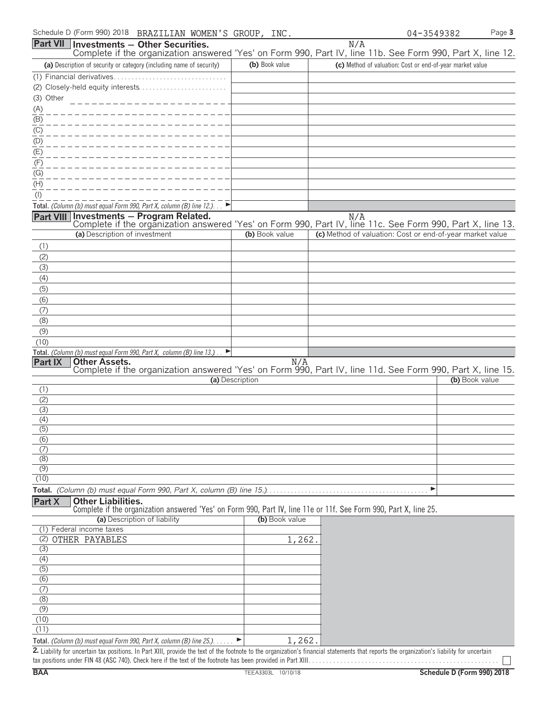|                           | Schedule D (Form 990) 2018 BRAZILIAN WOMEN'S GROUP, INC.                                                                                               |                 |        |     | 04-3549382                                                | Page 3 |
|---------------------------|--------------------------------------------------------------------------------------------------------------------------------------------------------|-----------------|--------|-----|-----------------------------------------------------------|--------|
|                           | Part VII Investments - Other Securities.<br>Complete if the organization answered 'Yes' on Form 990, Part IV, line 11b. See Form 990, Part X, line 12. |                 |        | N/A |                                                           |        |
|                           | (a) Description of security or category (including name of security)                                                                                   | (b) Book value  |        |     | (c) Method of valuation: Cost or end-of-year market value |        |
|                           | (1) Financial derivatives                                                                                                                              |                 |        |     |                                                           |        |
|                           |                                                                                                                                                        |                 |        |     |                                                           |        |
| (3) Other                 |                                                                                                                                                        |                 |        |     |                                                           |        |
| (A)                       |                                                                                                                                                        |                 |        |     |                                                           |        |
| $\overline{(\mathsf{B})}$ |                                                                                                                                                        |                 |        |     |                                                           |        |
| $\overline{(C)}$          |                                                                                                                                                        |                 |        |     |                                                           |        |
| (D)                       |                                                                                                                                                        |                 |        |     |                                                           |        |
| $\overline{E}$            |                                                                                                                                                        |                 |        |     |                                                           |        |
| (F)                       |                                                                                                                                                        |                 |        |     |                                                           |        |
| (G)<br>(H)                |                                                                                                                                                        |                 |        |     |                                                           |        |
| $($ l $)$                 |                                                                                                                                                        |                 |        |     |                                                           |        |
|                           | Total. (Column (b) must equal Form 990, Part X, column (B) line 12.). $\Box$                                                                           |                 |        |     |                                                           |        |
|                           | Part VIII Investments - Program Related.                                                                                                               |                 |        | N/A |                                                           |        |
|                           | Complete if the organization answered 'Yes' on Form 990, Part IV, line 11c. See Form 990, Part X, line 13.                                             |                 |        |     |                                                           |        |
|                           | (a) Description of investment                                                                                                                          | (b) Book value  |        |     | (c) Method of valuation: Cost or end-of-year market value |        |
| (1)                       |                                                                                                                                                        |                 |        |     |                                                           |        |
| (2)                       |                                                                                                                                                        |                 |        |     |                                                           |        |
| (3)                       |                                                                                                                                                        |                 |        |     |                                                           |        |
| (4)                       |                                                                                                                                                        |                 |        |     |                                                           |        |
| (5)                       |                                                                                                                                                        |                 |        |     |                                                           |        |
| (6)<br>(7)                |                                                                                                                                                        |                 |        |     |                                                           |        |
| (8)                       |                                                                                                                                                        |                 |        |     |                                                           |        |
| (9)                       |                                                                                                                                                        |                 |        |     |                                                           |        |
| (10)                      |                                                                                                                                                        |                 |        |     |                                                           |        |
|                           | Total. (Column (b) must equal Form 990, Part X, column (B) line 13.).                                                                                  |                 |        |     |                                                           |        |
| Part IX                   | <b>Other Assets.</b>                                                                                                                                   |                 | N/A    |     |                                                           |        |
|                           | Complete if the organization answered 'Yes' on Form 990, Part IV, line 11d. See Form 990, Part X, line 15.                                             | (a) Description |        |     | (b) Book value                                            |        |
| (1)                       |                                                                                                                                                        |                 |        |     |                                                           |        |
| (2)                       |                                                                                                                                                        |                 |        |     |                                                           |        |
| (3)                       |                                                                                                                                                        |                 |        |     |                                                           |        |
| (4)                       |                                                                                                                                                        |                 |        |     |                                                           |        |
| (5)<br>(6)                |                                                                                                                                                        |                 |        |     |                                                           |        |
| (7)                       |                                                                                                                                                        |                 |        |     |                                                           |        |
| (8)                       |                                                                                                                                                        |                 |        |     |                                                           |        |
| (9)                       |                                                                                                                                                        |                 |        |     |                                                           |        |
| (10)                      |                                                                                                                                                        |                 |        |     |                                                           |        |
|                           |                                                                                                                                                        |                 |        |     |                                                           |        |
| <b>Part X</b>             | <b>Other Liabilities.</b><br>Complete if the organization answered 'Yes' on Form 990, Part IV, line 11e or 11f. See Form 990, Part X, line 25.         |                 |        |     |                                                           |        |
|                           | (a) Description of liability                                                                                                                           | (b) Book value  |        |     |                                                           |        |
| (1)                       | Federal income taxes                                                                                                                                   |                 |        |     |                                                           |        |
|                           | (2) OTHER PAYABLES                                                                                                                                     |                 | 1,262. |     |                                                           |        |
| $\overline{(3)}$          |                                                                                                                                                        |                 |        |     |                                                           |        |
| (4)                       |                                                                                                                                                        |                 |        |     |                                                           |        |
| (5)                       |                                                                                                                                                        |                 |        |     |                                                           |        |
| (6)<br>(7)                |                                                                                                                                                        |                 |        |     |                                                           |        |
| (8)                       |                                                                                                                                                        |                 |        |     |                                                           |        |
| (9)                       |                                                                                                                                                        |                 |        |     |                                                           |        |
| (10)                      |                                                                                                                                                        |                 |        |     |                                                           |        |
| (11)                      |                                                                                                                                                        |                 |        |     |                                                           |        |

**Total.** *(Column (b) must equal Form 990, Part X, column (B) line 25.)*. . . . . . G 1,262.

2. Liability for uncertain tax positions. In Part XIII, provide the text of the footnote to the organization's financial statements that reports the organization's liability for uncertain tax positions under FIN 48 (ASC 740). Check here if the text of the footnote has been provided in Part XIII. . . . . . . . . . . . . . . . . . . . . . . . . . . . . . . . . . . . . . . . . . . . . . . . . . . . . .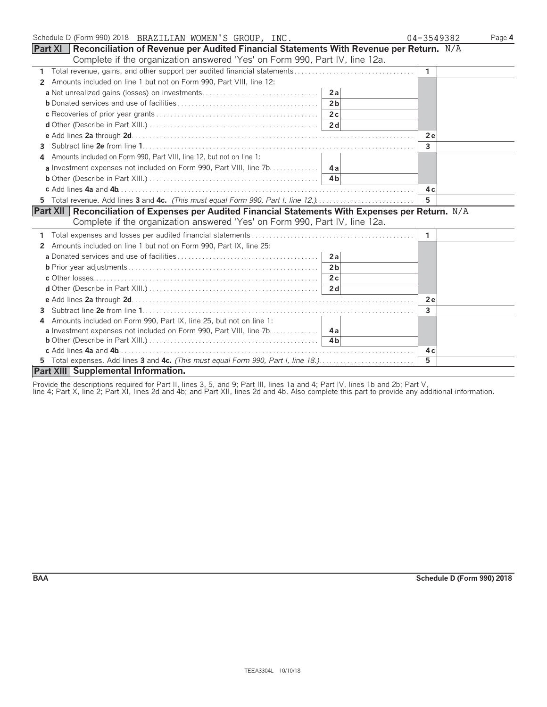| Schedule D (Form 990) 2018 BRAZILIAN WOMEN'S GROUP, INC.                                             | 04-3549382     | Page 4 |
|------------------------------------------------------------------------------------------------------|----------------|--------|
| Part XI   Reconciliation of Revenue per Audited Financial Statements With Revenue per Return. N/A    |                |        |
| Complete if the organization answered 'Yes' on Form 990, Part IV, line 12a.                          |                |        |
|                                                                                                      | $\overline{1}$ |        |
| Amounts included on line 1 but not on Form 990, Part VIII, line 12:<br>$\mathbf{2}$                  |                |        |
|                                                                                                      |                |        |
| 2 <sub>b</sub>                                                                                       |                |        |
|                                                                                                      |                |        |
|                                                                                                      |                |        |
|                                                                                                      | <b>2e</b>      |        |
| 3                                                                                                    | $\mathbf{3}$   |        |
| Amounts included on Form 990, Part VIII, line 12, but not on line 1:                                 |                |        |
|                                                                                                      |                |        |
|                                                                                                      |                |        |
|                                                                                                      | 4 c            |        |
| 5 Total revenue. Add lines 3 and 4c. (This must equal Form 990, Part I, line 12.)                    | 5              |        |
| Part XII   Reconciliation of Expenses per Audited Financial Statements With Expenses per Return. N/A |                |        |
| Complete if the organization answered 'Yes' on Form 990, Part IV, line 12a.                          |                |        |
|                                                                                                      | -1             |        |
| Amounts included on line 1 but not on Form 990, Part IX, line 25:<br>2                               |                |        |
|                                                                                                      |                |        |
| 2 <sub>b</sub>                                                                                       |                |        |
|                                                                                                      |                |        |
|                                                                                                      |                |        |
|                                                                                                      | 2e             |        |
| 3                                                                                                    | 3              |        |
| Amounts included on Form 990, Part IX, line 25, but not on line 1:<br>4                              |                |        |
| a Investment expenses not included on Form 990, Part VIII, line 7b.   4a                             |                |        |
|                                                                                                      |                |        |
|                                                                                                      | 4 с            |        |
|                                                                                                      | 5.             |        |
| Part XIII Supplemental Information.                                                                  |                |        |

Provide the descriptions required for Part II, lines 3, 5, and 9; Part III, lines 1a and 4; Part IV, lines 1b and 2b; Part V,

line 4; Part X, line 2; Part XI, lines 2d and 4b; and Part XII, lines 2d and 4b. Also complete this part to provide any additional information.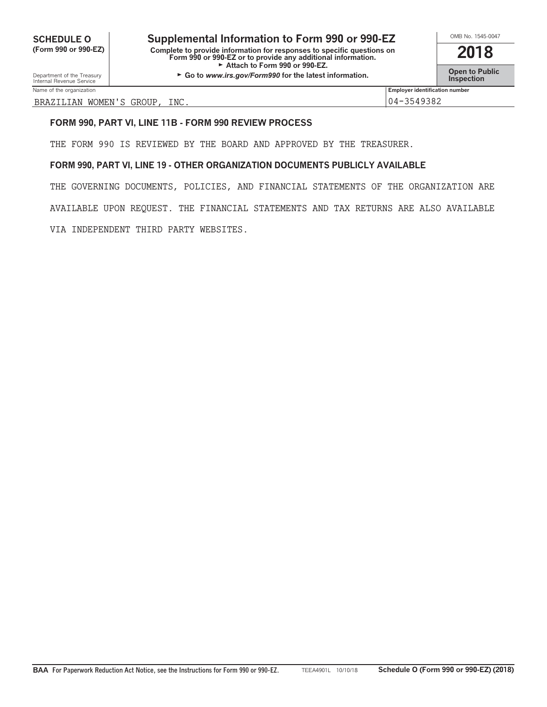**SCHEDULE O Supplemental Information to Form 990 or 990-EZ** <br>
Complete the provide information for response to specific questions on **2018 (Form 990 or 990-EZ) Complete to provide information for responses to specific questions on Form 990 or 990-EZ or to provide any additional information. 2018** Attach to Form 990 or 990-EZ.

**Open to Public Department of the Treasury Go to** *a***ve-∟∠.<br>■ Open to Public Inspection <b>Construction** in the latest information.

Department of the Treasury<br>Internal Revenue Service Name of the organization **Employer identification number Employer identification number Employer identification number** 

BRAZILIAN WOMEN'S GROUP, INC. 04-3549382

#### **FORM 990, PART VI, LINE 11B - FORM 990 REVIEW PROCESS**

THE FORM 990 IS REVIEWED BY THE BOARD AND APPROVED BY THE TREASURER.

#### **FORM 990, PART VI, LINE 19 - OTHER ORGANIZATION DOCUMENTS PUBLICLY AVAILABLE**

THE GOVERNING DOCUMENTS, POLICIES, AND FINANCIAL STATEMENTS OF THE ORGANIZATION ARE AVAILABLE UPON REQUEST. THE FINANCIAL STATEMENTS AND TAX RETURNS ARE ALSO AVAILABLE VIA INDEPENDENT THIRD PARTY WEBSITES.